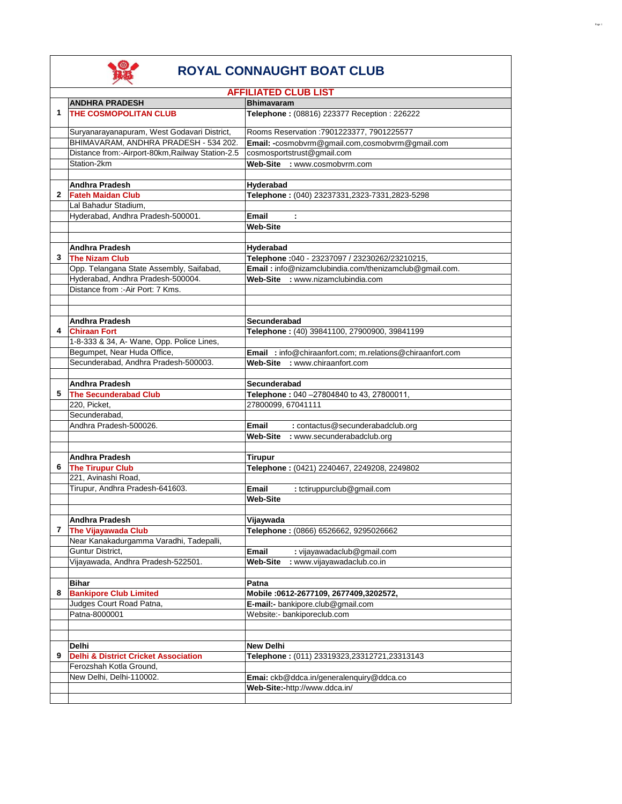

|   | <b>AFFILIATED CLUB LIST</b>                                              |                                                           |  |
|---|--------------------------------------------------------------------------|-----------------------------------------------------------|--|
|   | <b>ANDHRA PRADESH</b>                                                    | <b>Bhimavaram</b>                                         |  |
| 1 | <b>THE COSMOPOLITAN CLUB</b>                                             | Telephone: (08816) 223377 Reception: 226222               |  |
|   | Suryanarayanapuram, West Godavari District,                              | Rooms Reservation : 7901223377, 7901225577                |  |
|   | BHIMAVARAM, ANDHRA PRADESH - 534 202.                                    | Email: -cosmobvrm@gmail.com,cosmobvrm@gmail.com           |  |
|   | Distance from:-Airport-80km, Railway Station-2.5                         | cosmosportstrust@gmail.com                                |  |
|   | Station-2km                                                              | Web-Site : www.cosmobvrm.com                              |  |
|   |                                                                          |                                                           |  |
|   | <b>Andhra Pradesh</b>                                                    | Hyderabad                                                 |  |
| 2 | <b>Fateh Maidan Club</b><br>Lal Bahadur Stadium,                         | Telephone: (040) 23237331,2323-7331,2823-5298             |  |
|   | Hyderabad, Andhra Pradesh-500001.                                        | Email<br>$\sim$                                           |  |
|   |                                                                          | <b>Web-Site</b>                                           |  |
|   |                                                                          |                                                           |  |
|   | <b>Andhra Pradesh</b>                                                    | Hyderabad                                                 |  |
| 3 | <b>The Nizam Club</b>                                                    | Telephone: 040 - 23237097 / 23230262/23210215,            |  |
|   | Opp. Telangana State Assembly, Saifabad,                                 | Email: info@nizamclubindia.com/thenizamclub@gmail.com.    |  |
|   | Hyderabad, Andhra Pradesh-500004.                                        | Web-Site : www.nizamclubindia.com                         |  |
|   | Distance from :- Air Port: 7 Kms.                                        |                                                           |  |
|   |                                                                          |                                                           |  |
|   |                                                                          |                                                           |  |
| 4 | <b>Andhra Pradesh</b>                                                    | Secunderabad                                              |  |
|   | <b>Chiraan Fort</b>                                                      | Telephone: (40) 39841100, 27900900, 39841199              |  |
|   | 1-8-333 & 34, A- Wane, Opp. Police Lines,<br>Begumpet, Near Huda Office, | Email : info@chiraanfort.com; m.relations@chiraanfort.com |  |
|   | Secunderabad, Andhra Pradesh-500003.                                     | Web-Site : www.chiraanfort.com                            |  |
|   |                                                                          |                                                           |  |
|   | <b>Andhra Pradesh</b>                                                    | Secunderabad                                              |  |
| 5 | <b>The Secunderabad Club</b>                                             | Telephone: 040-27804840 to 43, 27800011,                  |  |
|   | 220, Picket,                                                             | 27800099, 67041111                                        |  |
|   | Secunderabad,                                                            |                                                           |  |
|   | Andhra Pradesh-500026.                                                   | Email<br>: contactus@secunderabadclub.org                 |  |
|   |                                                                          | Web-Site : www.secunderabadclub.org                       |  |
|   |                                                                          |                                                           |  |
|   | <b>Andhra Pradesh</b>                                                    | <b>Tirupur</b>                                            |  |
| 6 | <b>The Tirupur Club</b>                                                  | Telephone: (0421) 2240467, 2249208, 2249802               |  |
|   | 221, Avinashi Road,                                                      |                                                           |  |
|   | Tirupur, Andhra Pradesh-641603.                                          | Email<br>: tctiruppurclub@gmail.com                       |  |
|   |                                                                          | <b>Web-Site</b>                                           |  |
|   |                                                                          |                                                           |  |
|   | <b>Andhra Pradesh</b>                                                    | Vijaywada                                                 |  |
| 7 | <b>The Vijayawada Club</b>                                               | Telephone: (0866) 6526662, 9295026662                     |  |
|   | Near Kanakadurgamma Varadhi, Tadepalli,                                  |                                                           |  |
|   | Guntur District,                                                         | : vijayawadaclub@gmail.com<br>Email                       |  |
|   | Vijayawada, Andhra Pradesh-522501.                                       | Web-Site<br>: www.vijayawadaclub.co.in                    |  |
|   | Bihar                                                                    | Patna                                                     |  |
| 8 | <b>Bankipore Club Limited</b>                                            | Mobile :0612-2677109, 2677409,3202572,                    |  |
|   | Judges Court Road Patna,                                                 | E-mail:- bankipore.club@gmail.com                         |  |
|   | Patna-8000001                                                            | Website:- bankiporeclub.com                               |  |
|   |                                                                          |                                                           |  |
|   |                                                                          |                                                           |  |
|   | Delhi                                                                    | <b>New Delhi</b>                                          |  |
| 9 | <b>Delhi &amp; District Cricket Association</b>                          | Telephone: (011) 23319323,23312721,23313143               |  |
|   | Ferozshah Kotla Ground,                                                  |                                                           |  |
|   | New Delhi, Delhi-110002.                                                 | Emai: ckb@ddca.in/generalenquiry@ddca.co                  |  |
|   |                                                                          | Web-Site:-http://www.ddca.in/                             |  |
|   |                                                                          |                                                           |  |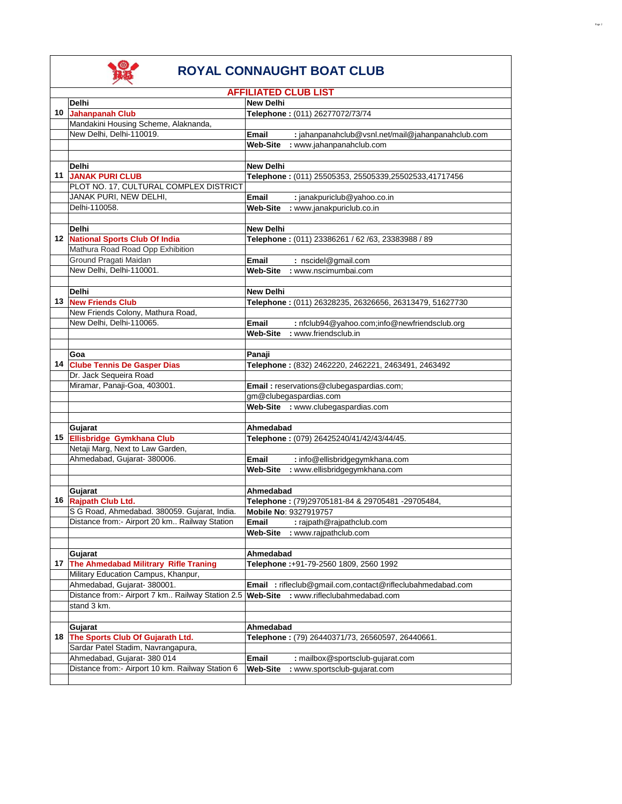

|                                                  | <b>AFFILIATED CLUB LIST</b>                                |
|--------------------------------------------------|------------------------------------------------------------|
| Delhi                                            | <b>New Delhi</b>                                           |
| 10 Jahanpanah Club                               | Telephone: (011) 26277072/73/74                            |
| Mandakini Housing Scheme, Alaknanda,             |                                                            |
| New Delhi, Delhi-110019.                         | : jahanpanahclub@vsnl.net/mail@jahanpanahclub.com<br>Email |
|                                                  | <b>Web-Site</b><br>: www.jahanpanahclub.com                |
|                                                  |                                                            |
| Delhi                                            | <b>New Delhi</b>                                           |
| <b>11 JANAK PURI CLUB</b>                        | Telephone: (011) 25505353, 25505339,25502533,41717456      |
| PLOT NO. 17, CULTURAL COMPLEX DISTRICT           |                                                            |
| JANAK PURI, NEW DELHI,                           | Email<br>: janakpuriclub@yahoo.co.in                       |
| Delhi-110058.                                    |                                                            |
|                                                  | <b>Web-Site</b><br>: www.janakpuriclub.co.in               |
|                                                  |                                                            |
| Delhi                                            | <b>New Delhi</b>                                           |
| 12 National Sports Club Of India                 | Telephone: (011) 23386261 / 62 /63, 23383988 / 89          |
| Mathura Road Road Opp Exhibition                 |                                                            |
| Ground Pragati Maidan                            | Email<br>: nscidel@gmail.com                               |
| New Delhi, Delhi-110001.                         | <b>Web-Site</b><br>: www.nscimumbai.com                    |
|                                                  |                                                            |
| Delhi                                            | <b>New Delhi</b>                                           |
| 13 New Friends Club                              | Telephone: (011) 26328235, 26326656, 26313479, 51627730    |
| New Friends Colony, Mathura Road,                |                                                            |
| New Delhi, Delhi-110065.                         | Email<br>: nfclub94@yahoo.com;info@newfriendsclub.org      |
|                                                  | <b>Web-Site</b><br>: www.friendsclub.in                    |
|                                                  |                                                            |
|                                                  |                                                            |
| Goa                                              | Panaji                                                     |
| 14 Clube Tennis De Gasper Dias                   | Telephone: (832) 2462220, 2462221, 2463491, 2463492        |
| Dr. Jack Sequeira Road                           |                                                            |
| Miramar, Panaji-Goa, 403001.                     | Email: reservations@clubegaspardias.com;                   |
|                                                  | gm@clubegaspardias.com                                     |
|                                                  | Web-Site : www.clubegaspardias.com                         |
|                                                  |                                                            |
| Gujarat                                          | Ahmedabad                                                  |
| 15 Ellisbridge Gymkhana Club                     | Telephone: (079) 26425240/41/42/43/44/45.                  |
| Netaji Marg, Next to Law Garden,                 |                                                            |
| Ahmedabad, Gujarat- 380006.                      | : info@ellisbridgegymkhana.com<br>Email                    |
|                                                  | : www.ellisbridgegymkhana.com<br><b>Web-Site</b>           |
|                                                  |                                                            |
| Gujarat                                          | Ahmedabad                                                  |
| 16 Rajpath Club Ltd.                             | Telephone: (79)29705181-84 & 29705481 -29705484,           |
| S G Road, Ahmedabad. 380059. Gujarat, India.     | Mobile No: 9327919757                                      |
| Distance from:- Airport 20 km Railway Station    | Email<br>: rajpath@rajpathclub.com                         |
|                                                  | Web-Site : www.rajpathclub.com                             |
|                                                  |                                                            |
|                                                  |                                                            |
| Gujarat                                          | Ahmedabad                                                  |
| 17 The Ahmedabad Militrary Rifle Traning         | Telephone :+91-79-2560 1809, 2560 1992                     |
| Military Education Campus, Khanpur,              |                                                            |
| Ahmedabad, Gujarat- 380001.                      | Email : rifleclub@gmail.com,contact@rifleclubahmedabad.com |
| Distance from:- Airport 7 km Railway Station 2.5 | <b>Web-Site</b><br>: www.rifleclubahmedabad.com            |
| stand 3 km.                                      |                                                            |
|                                                  |                                                            |
| Gujarat                                          | Ahmedabad                                                  |
| 18 The Sports Club Of Gujarath Ltd.              | Telephone: (79) 26440371/73, 26560597, 26440661.           |
| Sardar Patel Stadim, Navrangapura,               |                                                            |
| Ahmedabad, Gujarat- 380 014                      | Email<br>: mailbox@sportsclub-gujarat.com                  |
| Distance from:- Airport 10 km. Railway Station 6 | <b>Web-Site</b><br>: www.sportsclub-gujarat.com            |
|                                                  |                                                            |
|                                                  |                                                            |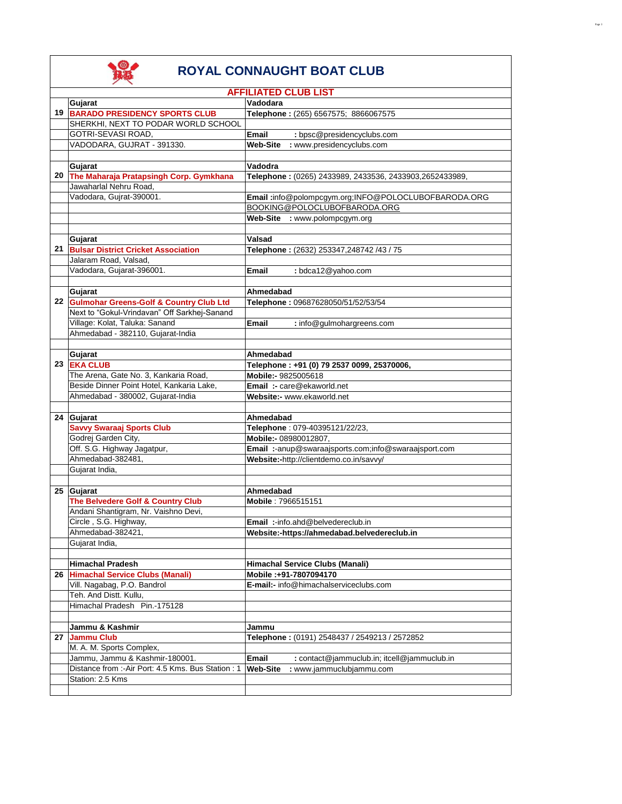

|    | <b>AFFILIATED CLUB LIST</b>                         |                                                         |
|----|-----------------------------------------------------|---------------------------------------------------------|
|    | Gujarat                                             | Vadodara                                                |
|    | 19 BARADO PRESIDENCY SPORTS CLUB                    | Telephone: (265) 6567575; 8866067575                    |
|    | SHERKHI, NEXT TO PODAR WORLD SCHOOL                 |                                                         |
|    | GOTRI-SEVASI ROAD,                                  | : bpsc@presidencyclubs.com<br>Email                     |
|    | VADODARA, GUJRAT - 391330.                          | <b>Web-Site</b><br>: www.presidencyclubs.com            |
|    |                                                     |                                                         |
|    | Gujarat                                             | Vadodra                                                 |
|    | 20 The Maharaja Pratapsingh Corp. Gymkhana          | Telephone: (0265) 2433989, 2433536, 2433903,2652433989, |
|    | Jawaharlal Nehru Road,                              |                                                         |
|    | Vadodara, Gujrat-390001.                            | Email:info@polompcgym.org;INFO@POLOCLUBOFBARODA.ORG     |
|    |                                                     | BOOKING@POLOCLUBOFBARODA.ORG                            |
|    |                                                     | Web-Site : www.polompcgym.org                           |
|    |                                                     |                                                         |
|    | Gujarat                                             | Valsad                                                  |
| 21 | <b>Bulsar District Cricket Association</b>          | Telephone: (2632) 253347,248742 /43 / 75                |
|    | Jalaram Road, Valsad,                               |                                                         |
|    | Vadodara, Gujarat-396001.                           | : bdca12@yahoo.com<br>Email                             |
|    |                                                     |                                                         |
|    | Gujarat                                             | Ahmedabad                                               |
|    | 22 Gulmohar Greens-Golf & Country Club Ltd          | Telephone: 09687628050/51/52/53/54                      |
|    | Next to "Gokul-Vrindavan" Off Sarkhej-Sanand        |                                                         |
|    | Village: Kolat, Taluka: Sanand                      | <b>Email</b><br>: info@gulmohargreens.com               |
|    | Ahmedabad - 382110, Gujarat-India                   |                                                         |
|    |                                                     |                                                         |
|    | Gujarat                                             | Ahmedabad                                               |
|    | 23 EKA CLUB                                         | Telephone: +91 (0) 79 2537 0099, 25370006,              |
|    | The Arena, Gate No. 3, Kankaria Road,               | Mobile:- 9825005618                                     |
|    | Beside Dinner Point Hotel, Kankaria Lake,           | Email :- care@ekaworld.net                              |
|    | Ahmedabad - 380002, Gujarat-India                   | Website:- www.ekaworld.net                              |
|    |                                                     |                                                         |
|    | 24 Gujarat                                          | Ahmedabad                                               |
|    | <b>Savvy Swaraaj Sports Club</b>                    | Telephone: 079-40395121/22/23,                          |
|    | Godrej Garden City,                                 | Mobile:- 08980012807,                                   |
|    | Off. S.G. Highway Jagatpur,                         | Email :-anup@swaraajsports.com;info@swaraajsport.com    |
|    | Ahmedabad-382481,                                   | Website:-http://clientdemo.co.in/savvy/                 |
|    | Gujarat India,                                      |                                                         |
|    |                                                     |                                                         |
|    | 25 Gujarat                                          | Ahmedabad                                               |
|    | The Belvedere Golf & Country Club                   | Mobile: 7966515151                                      |
|    | Andani Shantigram, Nr. Vaishno Devi,                |                                                         |
|    | Circle, S.G. Highway,                               | <b>Email:</b> -info.ahd@belvedereclub.in                |
|    | Ahmedabad-382421,                                   | Website:-https://ahmedabad.belvedereclub.in             |
|    | Gujarat India,                                      |                                                         |
|    |                                                     |                                                         |
|    | <b>Himachal Pradesh</b>                             | Himachal Service Clubs (Manali)                         |
|    | 26 Himachal Service Clubs (Manali)                  | Mobile: +91-7807094170                                  |
|    | Vill. Nagabag, P.O. Bandrol                         | E-mail:- info@himachalserviceclubs.com                  |
|    | Teh. And Distt. Kullu,                              |                                                         |
|    | Himachal Pradesh Pin.-175128                        |                                                         |
|    |                                                     |                                                         |
|    | Jammu & Kashmir                                     | Jammu                                                   |
|    | 27 Jammu Club                                       | Telephone: (0191) 2548437 / 2549213 / 2572852           |
|    | M. A. M. Sports Complex,                            |                                                         |
|    | Jammu, Jammu & Kashmir-180001.                      | Email<br>: contact@jammuclub.in; itcell@jammuclub.in    |
|    | Distance from :- Air Port: 4.5 Kms. Bus Station : 1 | <b>Web-Site</b><br>: www.jammuclubjammu.com             |
|    | Station: 2.5 Kms                                    |                                                         |
|    |                                                     |                                                         |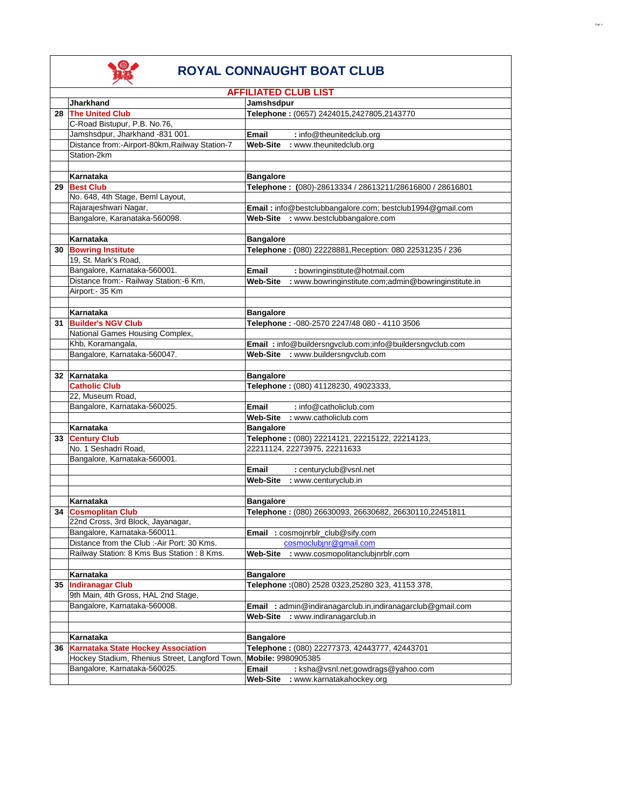

|    | <b>AFFILIATED CLUB LIST</b>                    |                                                                         |  |
|----|------------------------------------------------|-------------------------------------------------------------------------|--|
|    | <b>Jharkhand</b>                               | Jamshsdpur                                                              |  |
|    | 28 The United Club                             | Telephone: (0657) 2424015,2427805,2143770                               |  |
|    | C-Road Bistupur, P.B. No.76,                   |                                                                         |  |
|    | Jamshsdpur, Jharkhand -831 001.                | Email<br>: info@theunitedclub.org                                       |  |
|    | Distance from:-Airport-80km, Railway Station-7 | <b>Web-Site</b><br>: www.theunitedclub.org                              |  |
|    | Station-2km                                    |                                                                         |  |
|    |                                                |                                                                         |  |
|    | Karnataka                                      | <b>Bangalore</b>                                                        |  |
|    | 29 Best Club                                   | Telephone: (080)-28613334 / 28613211/28616800 / 28616801                |  |
|    | No. 648, 4th Stage, Beml Layout,               |                                                                         |  |
|    | Rajarajeshwari Nagar,                          | Email: info@bestclubbangalore.com; bestclub1994@gmail.com               |  |
|    | Bangalore, Karanataka-560098.                  | Web-Site : www.bestclubbangalore.com                                    |  |
|    |                                                |                                                                         |  |
|    | Karnataka                                      | <b>Bangalore</b>                                                        |  |
| 30 | <b>Bowring Institute</b>                       | Telephone: (080) 22228881, Reception: 080 22531235 / 236                |  |
|    | 19, St. Mark's Road,                           |                                                                         |  |
|    | Bangalore, Karnataka-560001.                   | <b>Email</b><br>: bowringinstitute@hotmail.com                          |  |
|    | Distance from:- Railway Station:-6 Km,         | <b>Web-Site</b><br>: www.bowringinstitute.com;admin@bowringinstitute.in |  |
|    | Airport:- 35 Km                                |                                                                         |  |
|    |                                                |                                                                         |  |
|    | Karnataka                                      | <b>Bangalore</b>                                                        |  |
| 31 | <b>Builder's NGV Club</b>                      | Telephone: - 080-2570 2247/48 080 - 4110 3506                           |  |
|    | National Games Housing Complex,                |                                                                         |  |
|    | Khb, Koramangala,                              | Email: info@buildersngvclub.com;info@buildersngvclub.com                |  |
|    | Bangalore, Karnataka-560047.                   | : www.buildersngvclub.com<br>Web-Site                                   |  |
|    | 32 Karnataka                                   | <b>Bangalore</b>                                                        |  |
|    | <b>Catholic Club</b>                           | Telephone: (080) 41128230, 49023333,                                    |  |
|    | 22, Museum Road,                               |                                                                         |  |
|    | Bangalore, Karnataka-560025.                   | : info@catholiclub.com<br>Email                                         |  |
|    |                                                | <b>Web-Site</b><br>: www.catholiclub.com                                |  |
|    | Karnataka                                      | <b>Bangalore</b>                                                        |  |
|    | 33 Century Club                                | Telephone: (080) 22214121, 22215122, 22214123,                          |  |
|    | No. 1 Seshadri Road,                           | 22211124, 22273975, 22211633                                            |  |
|    | Bangalore, Karnataka-560001.                   |                                                                         |  |
|    |                                                | Email<br>: centuryclub@vsnl.net                                         |  |
|    |                                                | <b>Web-Site</b><br>: www.centuryclub.in                                 |  |
|    |                                                |                                                                         |  |
|    | Karnataka                                      | <b>Bangalore</b>                                                        |  |
|    | 34 Cosmoplitan Club                            | Telephone: (080) 26630093, 26630682, 26630110,22451811                  |  |
|    | 22nd Cross, 3rd Block, Jayanagar,              |                                                                         |  |
|    | Bangalore, Karnataka-560011.                   | Email : cosmojnrblr_club@sify.com                                       |  |
|    | Distance from the Club :-Air Port: 30 Kms.     | cosmoclubjnr@gmail.com                                                  |  |
|    | Railway Station: 8 Kms Bus Station: 8 Kms.     | Web-Site<br>: www.cosmopolitanclubjnrblr.com                            |  |
|    |                                                |                                                                         |  |
|    | Karnataka                                      | <b>Bangalore</b>                                                        |  |
|    | 35 Indiranagar Club                            | Telephone :(080) 2528 0323,25280 323, 41153 378,                        |  |
|    | 9th Main, 4th Gross, HAL 2nd Stage,            |                                                                         |  |
|    | Bangalore, Karnataka-560008.                   | Email: admin@indiranagarclub.in,indiranagarclub@gmail.com               |  |
|    |                                                | Web-Site<br>: www.indiranagarclub.in                                    |  |
|    |                                                |                                                                         |  |
|    | Karnataka                                      | <b>Bangalore</b>                                                        |  |
| 36 | Karnataka State Hockey Association             | Telephone: (080) 22277373, 42443777, 42443701                           |  |
|    | Hockey Stadium, Rhenius Street, Langford Town, | Mobile: 9980905385                                                      |  |
|    | Bangalore, Karnataka-560025.                   | <b>Email</b><br>: ksha@vsnl.net;gowdrags@yahoo.com                      |  |
|    |                                                | Web-Site<br>: www.karnatakahockey.org                                   |  |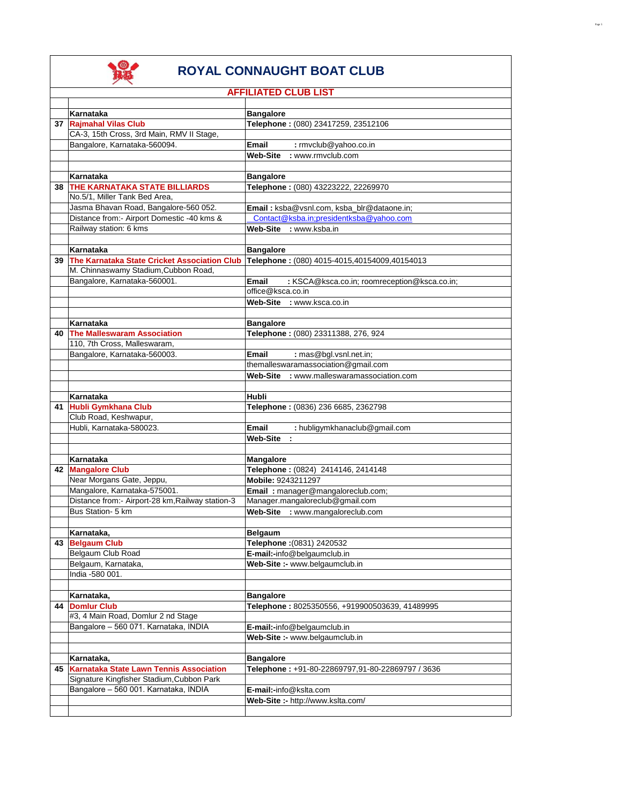

|    | <b>AFFILIATED CLUB LIST</b>                                               |                                                                            |
|----|---------------------------------------------------------------------------|----------------------------------------------------------------------------|
|    |                                                                           |                                                                            |
|    | Karnataka                                                                 | <b>Bangalore</b>                                                           |
|    | 37 Rajmahal Vilas Club                                                    | Telephone: (080) 23417259, 23512106                                        |
|    | CA-3, 15th Cross, 3rd Main, RMV II Stage,<br>Bangalore, Karnataka-560094. | Email<br>: rmvclub@yahoo.co.in                                             |
|    |                                                                           | <b>Web-Site</b><br>: www.rmvclub.com                                       |
|    |                                                                           |                                                                            |
|    | Karnataka                                                                 | <b>Bangalore</b>                                                           |
|    | <b>38 THE KARNATAKA STATE BILLIARDS</b>                                   | Telephone: (080) 43223222, 22269970                                        |
|    | No.5/1, Miller Tank Bed Area,                                             |                                                                            |
|    | Jasma Bhavan Road, Bangalore-560 052.                                     | <b>Email:</b> ksba@vsnl.com. ksba_blr@dataone.in:                          |
|    | Distance from:- Airport Domestic -40 kms &                                | Contact@ksba.in:presidentksba@vahoo.com                                    |
|    | Railway station: 6 kms                                                    | Web-Site : www.ksba.in                                                     |
|    |                                                                           |                                                                            |
|    | Karnataka                                                                 | <b>Bangalore</b>                                                           |
|    | 39 The Karnataka State Cricket Association Club                           | Telephone: (080) 4015-4015,40154009,40154013                               |
|    | M. Chinnaswamy Stadium, Cubbon Road,                                      |                                                                            |
|    | Bangalore, Karnataka-560001.                                              | Email<br>: KSCA@ksca.co.in; roomreception@ksca.co.in;<br>office@ksca.co.in |
|    |                                                                           | Web-Site : www.ksca.co.in                                                  |
|    |                                                                           |                                                                            |
|    | Karnataka                                                                 | <b>Bangalore</b>                                                           |
|    | 40 The Malleswaram Association                                            | Telephone: (080) 23311388, 276, 924                                        |
|    | 110, 7th Cross, Malleswaram,                                              |                                                                            |
|    | Bangalore, Karnataka-560003.                                              | Email<br>: mas@bgl.vsnl.net.in;                                            |
|    |                                                                           | themalleswaramassociation@gmail.com                                        |
|    |                                                                           | Web-Site : www.malleswaramassociation.com                                  |
|    |                                                                           |                                                                            |
|    | Karnataka                                                                 | Hubli                                                                      |
|    | 41 Hubli Gymkhana Club                                                    | Telephone: (0836) 236 6685, 2362798                                        |
|    | Club Road, Keshwapur,                                                     |                                                                            |
|    | Hubli, Karnataka-580023.                                                  | Email<br>: hubligymkhanaclub@gmail.com<br>Web-Site<br>$\mathbf{r}$         |
|    |                                                                           |                                                                            |
|    | Karnataka                                                                 | Mangalore                                                                  |
|    | 42 Mangalore Club                                                         | Telephone: (0824) 2414146, 2414148                                         |
|    | Near Morgans Gate, Jeppu,                                                 | Mobile: 9243211297                                                         |
|    | Mangalore, Karnataka-575001.                                              | Email: manager@mangaloreclub.com;                                          |
|    | Distance from:- Airport-28 km, Railway station-3                          | Manager.mangaloreclub@gmail.com                                            |
|    | Bus Station- 5 km                                                         | Web-Site : www.mangaloreclub.com                                           |
|    |                                                                           |                                                                            |
|    | Karnataka,                                                                | <b>Belgaum</b>                                                             |
|    | 43 Belgaum Club                                                           | Telephone :(0831) 2420532                                                  |
|    | Belgaum Club Road                                                         | E-mail:-info@belgaumclub.in<br>Web-Site :- www.belgaumclub.in              |
|    | Belgaum, Karnataka,<br>India -580 001.                                    |                                                                            |
|    |                                                                           |                                                                            |
|    | Karnataka,                                                                | <b>Bangalore</b>                                                           |
| 44 | Domlur Club                                                               | Telephone: 8025350556, +919900503639, 41489995                             |
|    | #3, 4 Main Road, Domlur 2 nd Stage                                        |                                                                            |
|    | Bangalore - 560 071. Karnataka, INDIA                                     | E-mail:-info@belgaumclub.in                                                |
|    |                                                                           | Web-Site :- www.belgaumclub.in                                             |
|    |                                                                           |                                                                            |
|    | Karnataka,                                                                | <b>Bangalore</b>                                                           |
|    | 45 Karnataka State Lawn Tennis Association                                | Telephone: +91-80-22869797,91-80-22869797 / 3636                           |
|    | Signature Kingfisher Stadium, Cubbon Park                                 |                                                                            |
|    | Bangalore - 560 001. Karnataka, INDIA                                     | E-mail:-info@kslta.com                                                     |
|    |                                                                           | Web-Site :- http://www.kslta.com/                                          |
|    |                                                                           |                                                                            |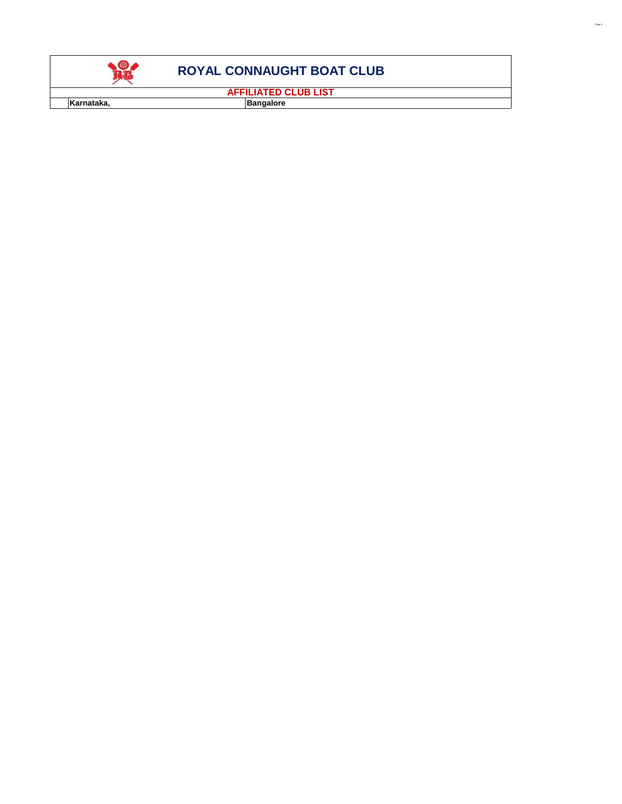

**AFFILIATED CLUB LIST**

**Karnataka, and a Bangalore Bangalore**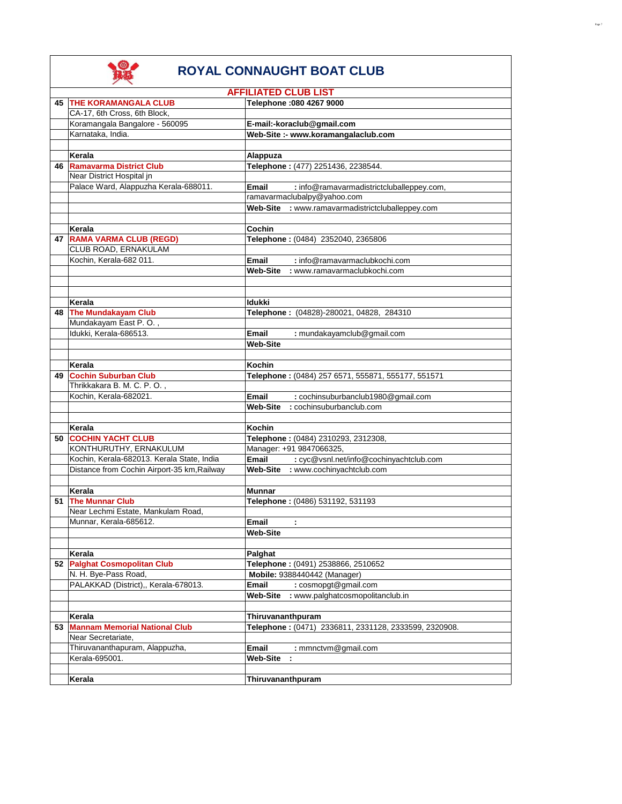|      | <b>AFFILIATED CLUB LIST</b>                 |                                                           |  |
|------|---------------------------------------------|-----------------------------------------------------------|--|
|      | <b>45 THE KORAMANGALA CLUB</b>              | Telephone : 080 4267 9000                                 |  |
|      | CA-17, 6th Cross, 6th Block,                |                                                           |  |
|      | Koramangala Bangalore - 560095              | E-mail:-koraclub@gmail.com                                |  |
|      | Karnataka, India.                           | Web-Site :- www.koramangalaclub.com                       |  |
|      |                                             |                                                           |  |
|      | Kerala                                      | Alappuza                                                  |  |
|      | 46 Ramavarma District Club                  | Telephone: (477) 2251436, 2238544.                        |  |
|      |                                             |                                                           |  |
|      | Near District Hospital in                   |                                                           |  |
|      | Palace Ward, Alappuzha Kerala-688011.       | <b>Email</b><br>: info@ramavarmadistrictcluballeppey.com, |  |
|      |                                             | ramavarmaclubalpy@yahoo.com                               |  |
|      |                                             | Web-Site : www.ramavarmadistrictcluballeppey.com          |  |
|      |                                             |                                                           |  |
|      | Kerala                                      | Cochin                                                    |  |
|      | 47 RAMA VARMA CLUB (REGD)                   | Telephone: (0484) 2352040, 2365806                        |  |
|      | CLUB ROAD, ERNAKULAM                        |                                                           |  |
|      | Kochin, Kerala-682 011.                     | Email<br>: info@ramavarmaclubkochi.com                    |  |
|      |                                             | <b>Web-Site</b><br>: www.ramavarmaclubkochi.com           |  |
|      |                                             |                                                           |  |
|      |                                             |                                                           |  |
|      | Kerala                                      | <b>Idukki</b>                                             |  |
|      |                                             |                                                           |  |
| 48   | The Mundakayam Club                         | Telephone: (04828)-280021, 04828, 284310                  |  |
|      | Mundakayam East P.O.,                       |                                                           |  |
|      | Idukki, Kerala-686513.                      | : mundakayamclub@gmail.com<br>Email                       |  |
|      |                                             | <b>Web-Site</b>                                           |  |
|      |                                             |                                                           |  |
|      | Kerala                                      | Kochin                                                    |  |
|      | 49 Cochin Suburban Club                     | Telephone: (0484) 257 6571, 555871, 555177, 551571        |  |
|      | Thrikkakara B. M. C. P. O.,                 |                                                           |  |
|      | Kochin, Kerala-682021.                      | Email<br>: cochinsuburbanclub1980@gmail.com               |  |
|      |                                             | <b>Web-Site</b><br>: cochinsuburbanclub.com               |  |
|      |                                             |                                                           |  |
|      | Kerala                                      | <b>Kochin</b>                                             |  |
|      | 50 COCHIN YACHT CLUB                        | Telephone: (0484) 2310293, 2312308,                       |  |
|      | KONTHURUTHY, ERNAKULUM                      | Manager: +91 9847066325,                                  |  |
|      | Kochin, Kerala-682013. Kerala State, India  | <b>Email</b><br>: cyc@vsnl.net/info@cochinyachtclub.com   |  |
|      | Distance from Cochin Airport-35 km, Railway | Web-Site : www.cochinyachtclub.com                        |  |
|      |                                             |                                                           |  |
|      | Kerala                                      | Munnar                                                    |  |
| 51   | <b>The Munnar Club</b>                      | Telephone: (0486) 531192, 531193                          |  |
|      |                                             |                                                           |  |
|      | Near Lechmi Estate, Mankulam Road,          |                                                           |  |
|      | Munnar, Kerala-685612.                      | Email<br>÷                                                |  |
|      |                                             | <b>Web-Site</b>                                           |  |
|      |                                             |                                                           |  |
|      | Kerala                                      | Palghat                                                   |  |
|      | 52 Palghat Cosmopolitan Club                | Telephone: (0491) 2538866, 2510652                        |  |
|      | N. H. Bye-Pass Road,                        | Mobile: 9388440442 (Manager)                              |  |
|      | PALAKKAD (District),, Kerala-678013.        | : cosmopgt@gmail.com<br>Email                             |  |
|      |                                             | <b>Web-Site</b><br>: www.palghatcosmopolitanclub.in       |  |
|      |                                             |                                                           |  |
|      | Kerala                                      | Thiruvananthpuram                                         |  |
| 53 I | <b>Mannam Memorial National Club</b>        | Telephone: (0471) 2336811, 2331128, 2333599, 2320908.     |  |
|      | Near Secretariate,                          |                                                           |  |
|      | Thiruvananthapuram, Alappuzha,              | Email<br>: mmnctvm@gmail.com                              |  |
|      | Kerala-695001.                              | <b>Web-Site</b>                                           |  |
|      |                                             |                                                           |  |
|      |                                             |                                                           |  |
|      | Kerala                                      | Thiruvananthpuram                                         |  |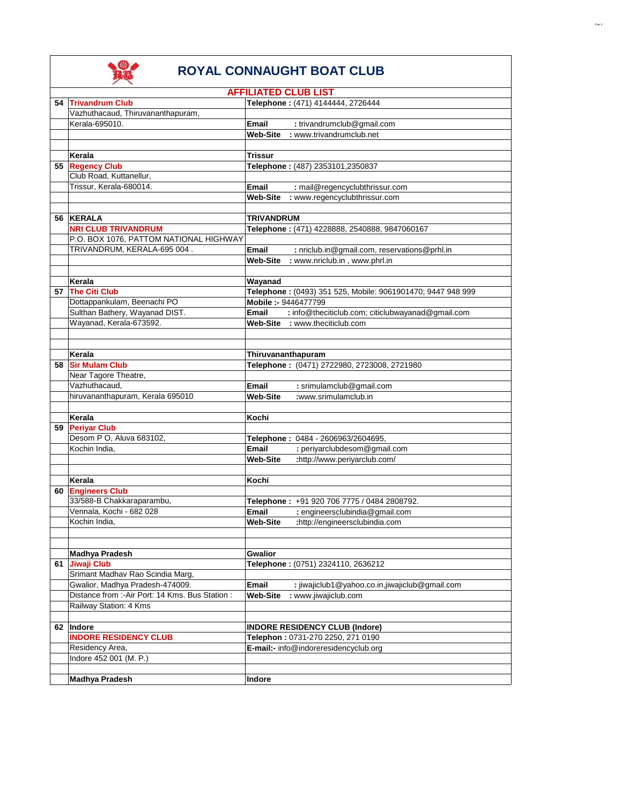|    |                                                  | <b>AFFILIATED CLUB LIST</b>                                    |
|----|--------------------------------------------------|----------------------------------------------------------------|
|    | 54 Trivandrum Club                               | Telephone: (471) 4144444, 2726444                              |
|    | Vazhuthacaud, Thiruvananthapuram,                |                                                                |
|    | Kerala-695010.                                   | Email<br>: trivandrumclub@gmail.com                            |
|    |                                                  | <b>Web-Site</b><br>: www.trivandrumclub.net                    |
|    |                                                  |                                                                |
|    | Kerala                                           | Trissur                                                        |
|    | 55 Regency Club                                  | Telephone: (487) 2353101,2350837                               |
|    | Club Road, Kuttanellur,                          |                                                                |
|    | Trissur, Kerala-680014.                          | Email<br>: mail@regencyclubthrissur.com                        |
|    |                                                  | <b>Web-Site</b><br>: www.regencyclubthrissur.com               |
|    |                                                  |                                                                |
|    | 56 KERALA                                        | TRIVANDRUM                                                     |
|    | <b>NRI CLUB TRIVANDRUM</b>                       | Telephone: (471) 4228888, 2540888, 9847060167                  |
|    | P.O. BOX 1076, PATTOM NATIONAL HIGHWAY           |                                                                |
|    | TRIVANDRUM, KERALA-695 004.                      | Email<br>: nriclub.in@gmail.com, reservations@prhl.in          |
|    |                                                  | : www.nriclub.in, www.phrl.in<br>Web-Site                      |
|    |                                                  |                                                                |
|    | Kerala                                           | Wayanad                                                        |
|    | 57 The Citi Club                                 | Telephone: (0493) 351 525, Mobile: 9061901470; 9447 948 999    |
|    | Dottappankulam, Beenachi PO                      | Mobile :- 9446477799                                           |
|    | Sulthan Bathery, Wayanad DIST.                   | : info@theciticlub.com; citiclubwayanad@gmail.com<br>Email     |
|    | Wayanad, Kerala-673592.                          | Web-Site : www.theciticlub.com                                 |
|    |                                                  |                                                                |
|    |                                                  |                                                                |
|    | Kerala                                           | Thiruvananthapuram                                             |
| 58 | <b>Sir Mulam Club</b>                            | Telephone: (0471) 2722980, 2723008, 2721980                    |
|    | Near Tagore Theatre,                             |                                                                |
|    | Vazhuthacaud,                                    | : srimulamclub@gmail.com<br>Email                              |
|    | hiruvananthapuram, Kerala 695010                 | <b>Web-Site</b><br>:www.srimulamclub.in                        |
|    |                                                  |                                                                |
|    | Kerala                                           | Kochi                                                          |
|    | 59 Periyar Club                                  |                                                                |
|    | Desom P O, Aluva 683102,                         | Telephone: 0484 - 2606963/2604695,                             |
|    | Kochin India.                                    | <b>Email</b><br>: periyarclubdesom@gmail.com                   |
|    |                                                  | <b>Web-Site</b><br>:http://www.periyarclub.com/                |
|    |                                                  |                                                                |
|    | Kerala                                           | Kochi                                                          |
| 60 | <b>Engineers Club</b>                            |                                                                |
|    | 33/588-B Chakkaraparambu,                        | Telephone: +91 920 706 7775 / 0484 2808792.                    |
|    | Vennala, Kochi - 682 028                         | : engineersclubindia@gmail.com<br><b>Email</b>                 |
|    | Kochin India,                                    | :http://engineersclubindia.com<br>Web-Site                     |
|    |                                                  |                                                                |
|    |                                                  |                                                                |
|    | <b>Madhya Pradesh</b>                            | Gwalior                                                        |
|    | 61 Jiwaji Club                                   | Telephone: (0751) 2324110, 2636212                             |
|    | Srimant Madhav Rao Scindia Marg,                 |                                                                |
|    | Gwalior, Madhya Pradesh-474009.                  | <b>Email</b><br>: jiwajiclub1@yahoo.co.in,jiwajiclub@gmail.com |
|    | Distance from :- Air Port: 14 Kms. Bus Station : | <b>Web-Site</b><br>: www.jiwajiclub.com                        |
|    | Railway Station: 4 Kms                           |                                                                |
|    |                                                  |                                                                |
|    | 62 Indore                                        | <b>INDORE RESIDENCY CLUB (Indore)</b>                          |
|    | <b>INDORE RESIDENCY CLUB</b>                     | Telephon: 0731-270 2250, 271 0190                              |
|    |                                                  |                                                                |
|    | Residency Area,<br>Indore 452 001 (M. P.)        | E-mail:- info@indoreresidencyclub.org                          |
|    |                                                  |                                                                |
|    |                                                  |                                                                |
|    | <b>Madhya Pradesh</b>                            | Indore                                                         |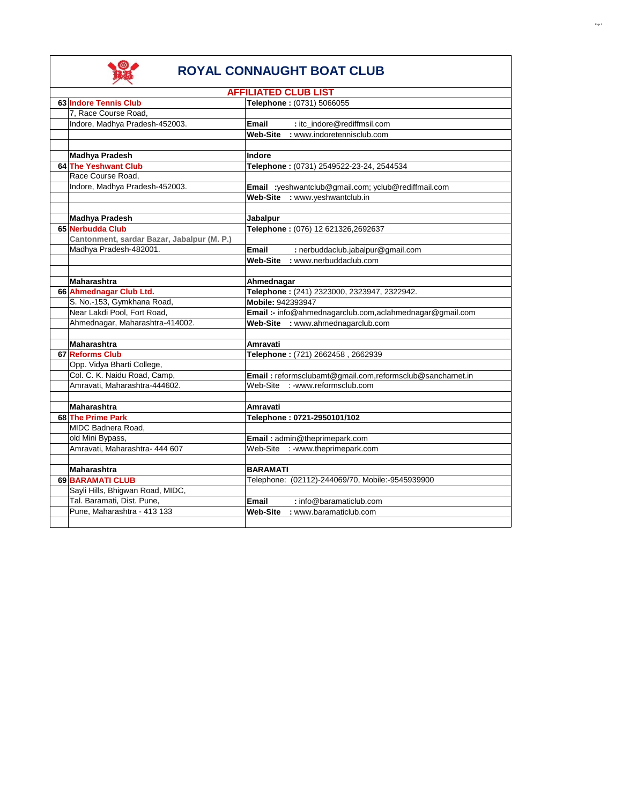

|                                            | <b>AFFILIATED CLUB LIST</b>                               |
|--------------------------------------------|-----------------------------------------------------------|
| 63 Indore Tennis Club                      | Telephone: (0731) 5066055                                 |
| 7, Race Course Road,                       |                                                           |
| Indore, Madhya Pradesh-452003.             | : itc_indore@rediffmsil.com<br><b>Email</b>               |
|                                            | Web-Site : www.indoretennisclub.com                       |
|                                            |                                                           |
| <b>Madhya Pradesh</b>                      | Indore                                                    |
| 64 The Yeshwant Club                       | Telephone: (0731) 2549522-23-24, 2544534                  |
| Race Course Road.                          |                                                           |
| Indore, Madhya Pradesh-452003.             | Email :yeshwantclub@gmail.com; yclub@rediffmail.com       |
|                                            | Web-Site : www.yeshwantclub.in                            |
|                                            |                                                           |
| <b>Madhya Pradesh</b>                      | <b>Jabalpur</b>                                           |
| 65 Nerbudda Club                           | Telephone: (076) 12 621326,2692637                        |
| Cantonment, sardar Bazar, Jabalpur (M. P.) |                                                           |
| Madhya Pradesh-482001.                     | <b>Email</b><br>: nerbuddaclub.jabalpur@gmail.com         |
|                                            | <b>Web-Site</b><br>: www.nerbuddaclub.com                 |
|                                            |                                                           |
| <b>Maharashtra</b>                         | Ahmednagar                                                |
| 66 Ahmednagar Club Ltd.                    | Telephone: (241) 2323000, 2323947, 2322942.               |
| S. No.-153, Gymkhana Road,                 | Mobile: 942393947                                         |
| Near Lakdi Pool, Fort Road,                | Email :- info@ahmednagarclub.com,aclahmednagar@gmail.com  |
| Ahmednagar, Maharashtra-414002.            | Web-Site : www.ahmednagarclub.com                         |
|                                            |                                                           |
| Maharashtra                                | Amravati                                                  |
| 67 Reforms Club                            | Telephone: (721) 2662458, 2662939                         |
| Opp. Vidya Bharti College,                 |                                                           |
| Col. C. K. Naidu Road, Camp,               | Email: reformsclubamt@gmail.com,reformsclub@sancharnet.in |
| Amravati, Maharashtra-444602.              | Web-Site : -www.reformsclub.com                           |
|                                            |                                                           |
| <b>Maharashtra</b>                         | Amravati                                                  |
| 68 The Prime Park                          | Telephone: 0721-2950101/102                               |
| MIDC Badnera Road.                         |                                                           |
| old Mini Bypass,                           | Email: admin@theprimepark.com                             |
| Amravati, Maharashtra- 444 607             | Web-Site : -www.theprimepark.com                          |
|                                            |                                                           |
| <b>Maharashtra</b>                         | <b>BARAMATI</b>                                           |
| 69 BARAMATI CLUB                           | Telephone: (02112)-244069/70, Mobile:-9545939900          |
| Sayli Hills, Bhigwan Road, MIDC,           |                                                           |
| Tal. Baramati, Dist. Pune,                 | <b>Email</b><br>: info@baramaticlub.com                   |
| Pune. Maharashtra - 413 133                | Web-Site : www.baramaticlub.com                           |
|                                            |                                                           |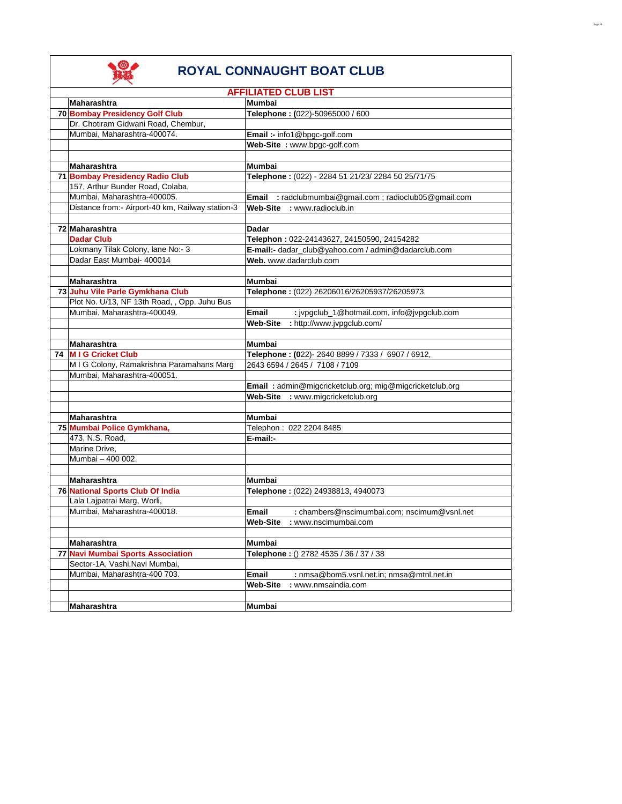

| <b>AFFILIATED CLUB LIST</b>                      |                                                             |
|--------------------------------------------------|-------------------------------------------------------------|
| <b>Mumbai</b><br><b>Maharashtra</b>              |                                                             |
| 70 Bombay Presidency Golf Club                   | Telephone: (022)-50965000 / 600                             |
| Dr. Chotiram Gidwani Road, Chembur,              |                                                             |
| Mumbai, Maharashtra-400074.                      | Email :- info1@bpgc-golf.com                                |
|                                                  | Web-Site: www.bpgc-golf.com                                 |
|                                                  |                                                             |
| Maharashtra                                      | Mumbai                                                      |
| <b>71 Bombay Presidency Radio Club</b>           | Telephone: (022) - 2284 51 21/23/ 2284 50 25/71/75          |
| 157, Arthur Bunder Road, Colaba,                 |                                                             |
| Mumbai, Maharashtra-400005.                      | : radclubmumbai@gmail.com ; radioclub05@gmail.com<br>Email  |
| Distance from:- Airport-40 km, Railway station-3 | Web-Site : www.radioclub.in                                 |
|                                                  |                                                             |
| 72 Maharashtra                                   | Dadar                                                       |
| <b>Dadar Club</b>                                | Telephon: 022-24143627, 24150590, 24154282                  |
| Lokmany Tilak Colony, lane No:- 3                | E-mail:- dadar_club@yahoo.com / admin@dadarclub.com         |
| Dadar East Mumbai- 400014                        | Web. www.dadarclub.com                                      |
|                                                  |                                                             |
| <b>Maharashtra</b>                               | Mumbai                                                      |
| 73 Juhu Vile Parle Gymkhana Club                 | Telephone: (022) 26206016/26205937/26205973                 |
| Plot No. U/13, NF 13th Road, , Opp. Juhu Bus     |                                                             |
| Mumbai. Maharashtra-400049.                      | <b>Email</b><br>: jvpgclub_1@hotmail.com, info@jvpgclub.com |
|                                                  | <b>Web-Site</b><br>: http://www.jvpgclub.com/               |
|                                                  |                                                             |
| <b>Maharashtra</b>                               | <b>Mumbai</b>                                               |
| 74 M I G Cricket Club                            | Telephone: (022)-2640 8899 / 7333 / 6907 / 6912,            |
| M I G Colony, Ramakrishna Paramahans Marg        | 2643 6594 / 2645 / 7108 / 7109                              |
| Mumbai. Maharashtra-400051.                      |                                                             |
|                                                  | Email: admin@migcricketclub.org; mig@migcricketclub.org     |
|                                                  | Web-Site : www.migcricketclub.org                           |
|                                                  |                                                             |
| Maharashtra                                      | Mumbai                                                      |
| 75 Mumbai Police Gymkhana,                       | Telephon: 022 2204 8485                                     |
| 473, N.S. Road,                                  | E-mail:-                                                    |
| Marine Drive,                                    |                                                             |
| Mumbai - 400 002.                                |                                                             |
|                                                  |                                                             |
| <b>Maharashtra</b>                               | Mumbai                                                      |
| 76 National Sports Club Of India                 | Telephone: (022) 24938813, 4940073                          |
| Lala Lajpatrai Marg, Worli,                      |                                                             |
| Mumbai, Maharashtra-400018.                      | <b>Email</b><br>: chambers@nscimumbai.com; nscimum@vsnl.net |
|                                                  | Web-Site : www.nscimumbai.com                               |
|                                                  |                                                             |
| Maharashtra                                      | Mumbai                                                      |
| 77 Navi Mumbai Sports Association                | Telephone: () 2782 4535 / 36 / 37 / 38                      |
| Sector-1A, Vashi, Navi Mumbai,                   |                                                             |
| Mumbai, Maharashtra-400 703.                     | <b>Email</b><br>: nmsa@bom5.vsnl.net.in; nmsa@mtnl.net.in   |
|                                                  | <b>Web-Site</b><br>: www.nmsaindia.com                      |
|                                                  |                                                             |
| <b>Maharashtra</b>                               | Mumbai                                                      |
|                                                  |                                                             |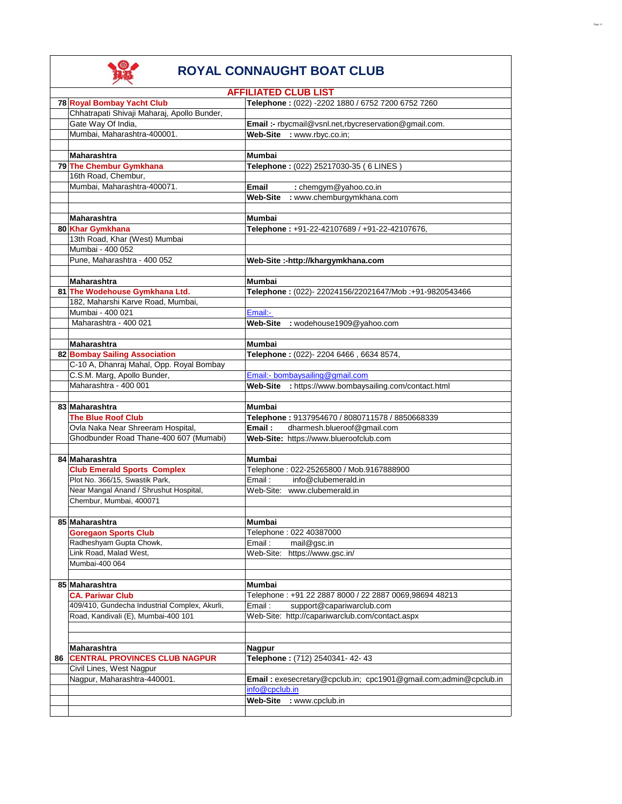|    |                                               | <b>AFFILIATED CLUB LIST</b>                                      |
|----|-----------------------------------------------|------------------------------------------------------------------|
|    | 78 Royal Bombay Yacht Club                    | Telephone: (022) -2202 1880 / 6752 7200 6752 7260                |
|    | Chhatrapati Shivaji Maharaj, Apollo Bunder,   |                                                                  |
|    | Gate Way Of India,                            | Email :- rbycmail@vsnl.net,rbycreservation@gmail.com.            |
|    | Mumbai, Maharashtra-400001.                   | Web-Site : www.rbyc.co.in;                                       |
|    |                                               |                                                                  |
|    |                                               |                                                                  |
|    | <b>Maharashtra</b>                            | Mumbai                                                           |
|    | 79 The Chembur Gymkhana                       | Telephone: (022) 25217030-35 (6 LINES)                           |
|    | 16th Road, Chembur,                           |                                                                  |
|    | Mumbai, Maharashtra-400071.                   | Email<br>: chemgym@yahoo.co.in                                   |
|    |                                               | : www.chemburgymkhana.com<br><b>Web-Site</b>                     |
|    |                                               |                                                                  |
|    | Maharashtra                                   | Mumbai                                                           |
|    | 80 Khar Gymkhana                              | Telephone: +91-22-42107689 / +91-22-42107676,                    |
|    | 13th Road, Khar (West) Mumbai                 |                                                                  |
|    |                                               |                                                                  |
|    | Mumbai - 400 052                              |                                                                  |
|    | Pune, Maharashtra - 400 052                   | Web-Site :-http://khargymkhana.com                               |
|    |                                               |                                                                  |
|    | <b>Maharashtra</b>                            | Mumbai                                                           |
|    | 81 The Wodehouse Gymkhana Ltd.                | Telephone: (022)-22024156/22021647/Mob:+91-9820543466            |
|    | 182, Maharshi Karve Road, Mumbai,             |                                                                  |
|    | Mumbai - 400 021                              | Email:-                                                          |
|    | Maharashtra - 400 021                         | Web-Site : wodehouse1909@yahoo.com                               |
|    |                                               |                                                                  |
|    | <b>Maharashtra</b>                            | Mumbai                                                           |
|    |                                               |                                                                  |
|    | 82 Bombay Sailing Association                 | Telephone: (022)-2204 6466, 6634 8574,                           |
|    | C-10 A, Dhanraj Mahal, Opp. Royal Bombay      |                                                                  |
|    | C.S.M. Marg, Apollo Bunder,                   | Email:- bombaysailing@gmail.com                                  |
|    | Maharashtra - 400 001                         | Web-Site : https://www.bombaysailing.com/contact.html            |
|    |                                               |                                                                  |
|    | 83 Maharashtra                                | Mumbai                                                           |
|    | <b>The Blue Roof Club</b>                     | Telephone: 9137954670 / 8080711578 / 8850668339                  |
|    | Ovla Naka Near Shreeram Hospital,             | dharmesh.blueroof@gmail.com<br>Email:                            |
|    | Ghodbunder Road Thane-400 607 (Mumabi)        | Web-Site: https://www.blueroofclub.com                           |
|    |                                               |                                                                  |
|    | 84 Maharashtra                                | Mumbai                                                           |
|    | <b>Club Emerald Sports Complex</b>            | Telephone: 022-25265800 / Mob.9167888900                         |
|    | Plot No. 366/15, Swastik Park,                | Email:<br>info@clubemerald.in                                    |
|    |                                               |                                                                  |
|    | Near Mangal Anand / Shrushut Hospital,        | Web-Site: www.clubemerald.in                                     |
|    | Chembur, Mumbai, 400071                       |                                                                  |
|    |                                               |                                                                  |
|    | 85 Maharashtra                                | Mumbai                                                           |
|    | <b>Goregaon Sports Club</b>                   | Telephone: 022 40387000                                          |
|    | Radheshyam Gupta Chowk,                       | mail@gsc.in<br>Email:                                            |
|    | Link Road, Malad West,                        | Web-Site:<br>https://www.gsc.in/                                 |
|    | Mumbai-400 064                                |                                                                  |
|    |                                               |                                                                  |
|    | 85 Maharashtra                                | Mumbai                                                           |
|    | <b>CA. Pariwar Club</b>                       | Telephone: +91 22 2887 8000 / 22 2887 0069,98694 48213           |
|    |                                               |                                                                  |
|    | 409/410, Gundecha Industrial Complex, Akurli, | Email:<br>support@capariwarclub.com                              |
|    | Road, Kandivali (E), Mumbai-400 101           | Web-Site: http://capariwarclub.com/contact.aspx                  |
|    |                                               |                                                                  |
|    |                                               |                                                                  |
|    | Maharashtra                                   | <b>Nagpur</b>                                                    |
| 86 | <b>CENTRAL PROVINCES CLUB NAGPUR</b>          | Telephone: (712) 2540341-42-43                                   |
|    | Civil Lines, West Nagpur                      |                                                                  |
|    | Nagpur, Maharashtra-440001.                   | Email: exesecretary@cpclub.in; cpc1901@gmail.com;admin@cpclub.in |
|    |                                               | info@cpclub.in                                                   |
|    |                                               | <b>Web-Site</b><br>: www.cpclub.in                               |
|    |                                               |                                                                  |
|    |                                               |                                                                  |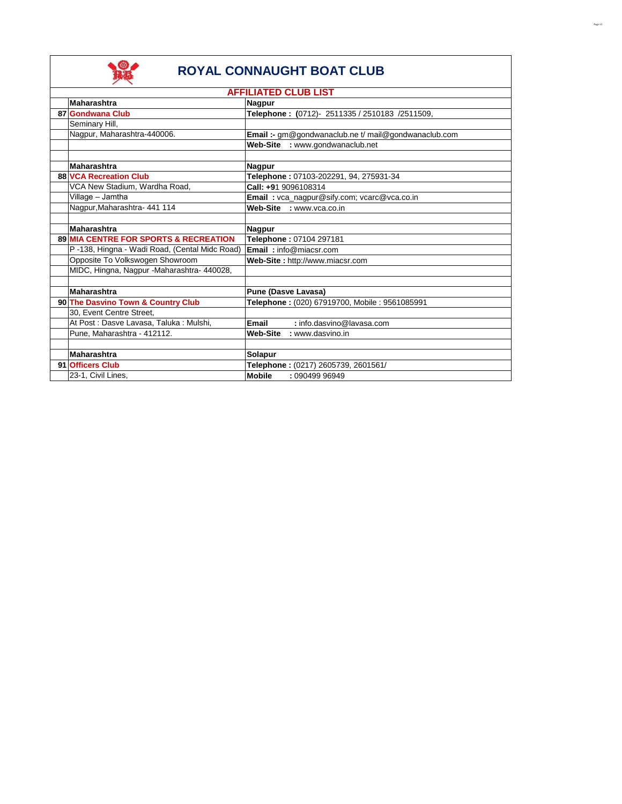

|                                                  | <b>AFFILIATED CLUB LIST</b>                          |
|--------------------------------------------------|------------------------------------------------------|
| <b>Maharashtra</b>                               | <b>Nagpur</b>                                        |
| 87 Gondwana Club                                 | Telephone: (0712)- 2511335 / 2510183 /2511509,       |
| Seminary Hill,                                   |                                                      |
| Nagpur, Maharashtra-440006.                      | Email :- gm@gondwanaclub.ne t/ mail@gondwanaclub.com |
|                                                  | Web-Site : www.gondwanaclub.net                      |
|                                                  |                                                      |
| Maharashtra                                      | <b>Nagpur</b>                                        |
| 88 VCA Recreation Club                           | Telephone: 07103-202291, 94, 275931-34               |
| VCA New Stadium, Wardha Road,                    | Call: +91 9096108314                                 |
| Village – Jamtha                                 | Email: vca_nagpur@sify.com; vcarc@vca.co.in          |
| Nagpur, Maharashtra- 441 114                     | Web-Site : www.vca.co.in                             |
|                                                  |                                                      |
| Maharashtra                                      | <b>Nagpur</b>                                        |
| <b>89 MIA CENTRE FOR SPORTS &amp; RECREATION</b> | Telephone: 07104 297181                              |
| P-138, Hingna - Wadi Road, (Cental Midc Road)    | <b>Email:</b> info@miacsr.com                        |
| Opposite To Volkswogen Showroom                  | Web-Site: http://www.miacsr.com                      |
| MIDC, Hingna, Nagpur -Maharashtra- 440028,       |                                                      |
|                                                  |                                                      |
| Maharashtra                                      | <b>Pune (Dasve Lavasa)</b>                           |
| 90 The Dasvino Town & Country Club               | Telephone: (020) 67919700, Mobile: 9561085991        |
| 30, Event Centre Street,                         |                                                      |
| At Post : Dasve Lavasa, Taluka : Mulshi,         | Email<br>: info.dasvino@lavasa.com                   |
| Pune, Maharashtra - 412112.                      | Web-Site<br>: www.dasvino.in                         |
|                                                  |                                                      |
| Maharashtra                                      | Solapur                                              |
| 91 Officers Club                                 | Telephone: (0217) 2605739, 2601561/                  |
| 23-1, Civil Lines,                               | <b>Mobile</b><br>: 090499 96949                      |
|                                                  |                                                      |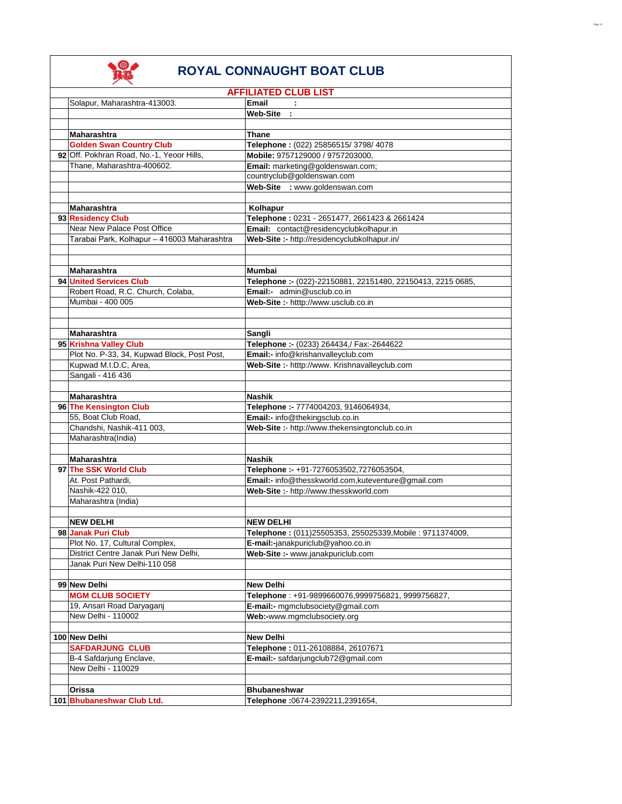

|                                                                       | <b>AFFILIATED CLUB LIST</b>                                             |
|-----------------------------------------------------------------------|-------------------------------------------------------------------------|
| Solapur, Maharashtra-413003.                                          | <b>Email</b>                                                            |
|                                                                       | Web-Site :                                                              |
|                                                                       |                                                                         |
| <b>Maharashtra</b>                                                    | Thane                                                                   |
| <b>Golden Swan Country Club</b>                                       | Telephone: (022) 25856515/3798/4078                                     |
| 92 Off. Pokhran Road, No.-1, Yeoor Hills,                             | Mobile: 9757129000 / 9757203000,                                        |
| Thane, Maharashtra-400602.                                            | Email: marketing@goldenswan.com;                                        |
|                                                                       | countryclub@goldenswan.com                                              |
|                                                                       | Web-Site : www.goldenswan.com                                           |
|                                                                       |                                                                         |
| <b>Maharashtra</b>                                                    | Kolhapur                                                                |
| 93 Residency Club                                                     | Telephone: 0231 - 2651477, 2661423 & 2661424                            |
| Near New Palace Post Office                                           | Email: contact@residencyclubkolhapur.in                                 |
| Tarabai Park, Kolhapur - 416003 Maharashtra                           | Web-Site :- http://residencyclubkolhapur.in/                            |
|                                                                       |                                                                         |
|                                                                       |                                                                         |
| <b>Maharashtra</b>                                                    | Mumbai                                                                  |
| 94 United Services Club                                               | Telephone :- (022)-22150881, 22151480, 22150413, 2215 0685,             |
| Robert Road, R.C. Church, Colaba,                                     | Email:- admin@usclub.co.in                                              |
| Mumbai - 400 005                                                      | Web-Site :- htttp://www.usclub.co.in                                    |
|                                                                       |                                                                         |
|                                                                       |                                                                         |
|                                                                       |                                                                         |
| <b>Maharashtra</b>                                                    | Sangli                                                                  |
| 95 Krishna Valley Club<br>Plot No. P-33, 34, Kupwad Block, Post Post, | Telephone :- (0233) 264434,/ Fax:-2644622                               |
|                                                                       | Email:- info@krishanvalleyclub.com                                      |
| Kupwad M.I.D.C, Area,                                                 | Web-Site :- htttp://www. Krishnavalleyclub.com                          |
| Sangali - 416 436                                                     |                                                                         |
|                                                                       |                                                                         |
| <b>Maharashtra</b>                                                    | <b>Nashik</b>                                                           |
| 96 The Kensington Club<br>55, Boat Club Road,                         | Telephone :- 7774004203, 9146064934,<br>Email:- info@thekingsclub.co.in |
| Chandshi, Nashik-411 003,                                             |                                                                         |
| Maharashtra(India)                                                    | Web-Site :- http://www.thekensingtonclub.co.in                          |
|                                                                       |                                                                         |
| <b>Maharashtra</b>                                                    | <b>Nashik</b>                                                           |
| 97 The SSK World Club                                                 | Telephone :- +91-7276053502,7276053504,                                 |
| At. Post Pathardi.                                                    | Email:- info@thesskworld.com,kuteventure@gmail.com                      |
| Nashik-422 010,                                                       | Web-Site :- http://www.thesskworld.com                                  |
| Maharashtra (India)                                                   |                                                                         |
|                                                                       |                                                                         |
| <b>NEW DELHI</b>                                                      | <b>NEW DELHI</b>                                                        |
| 98 Janak Puri Club                                                    | Telephone: (011)25505353, 255025339, Mobile: 9711374009,                |
| Plot No. 17, Cultural Complex,                                        | <b>E-mail:-</b> janakpuriclub@yahoo.co.in                               |
| District Centre Janak Puri New Delhi,                                 | Web-Site :- www.janakpuriclub.com                                       |
| Janak Puri New Delhi-110 058                                          |                                                                         |
|                                                                       |                                                                         |
| 99 New Delhi                                                          | New Delhi                                                               |
| <b>MGM CLUB SOCIETY</b>                                               | Telephone: +91-9899660076,9999756821, 9999756827,                       |
| 19, Ansari Road Daryaganj                                             | E-mail:- mgmclubsociety@gmail.com                                       |
| New Delhi - 110002                                                    | Web:-www.mgmclubsociety.org                                             |
|                                                                       |                                                                         |
| 100 New Delhi                                                         | <b>New Delhi</b>                                                        |
| <b>SAFDARJUNG CLUB</b>                                                | Telephone: 011-26108884, 26107671                                       |
| B-4 Safdarjung Enclave,                                               | E-mail:- safdarjungclub72@gmail.com                                     |
| New Delhi - 110029                                                    |                                                                         |
|                                                                       |                                                                         |
| Orissa                                                                | <b>Bhubaneshwar</b>                                                     |
| 101 Bhubaneshwar Club Ltd.                                            | Telephone: 0674-2392211, 2391654,                                       |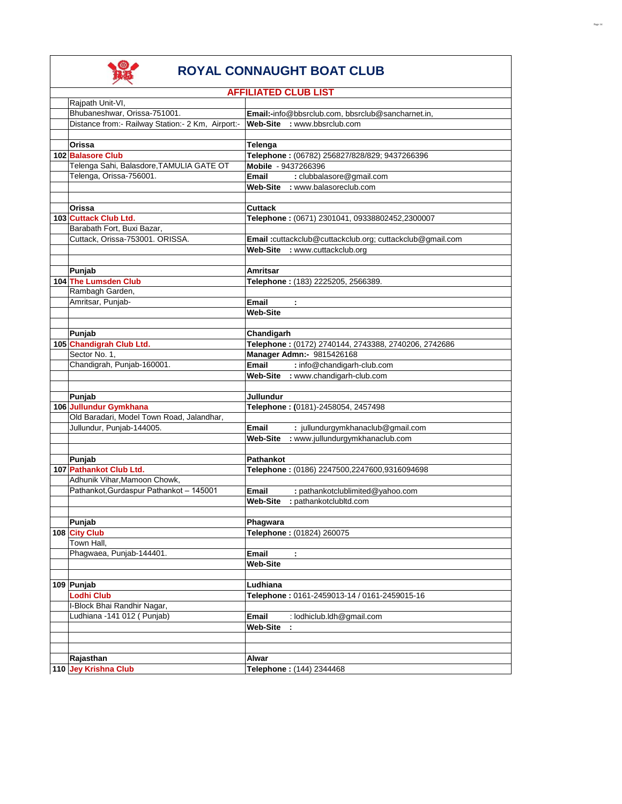

|                                                   | <b>AFFILIATED CLUB LIST</b>                              |
|---------------------------------------------------|----------------------------------------------------------|
| Rajpath Unit-VI,                                  |                                                          |
| Bhubaneshwar, Orissa-751001.                      | Email:-info@bbsrclub.com, bbsrclub@sancharnet.in,        |
| Distance from:- Railway Station:- 2 Km, Airport:- | Web-Site : www.bbsrclub.com                              |
|                                                   |                                                          |
| Orissa                                            | Telenga                                                  |
| 102 Balasore Club                                 | Telephone: (06782) 256827/828/829; 9437266396            |
| Telenga Sahi, Balasdore, TAMULIA GATE OT          | Mobile - 9437266396                                      |
| Telenga, Orissa-756001.                           | : clubbalasore@gmail.com<br><b>Email</b>                 |
|                                                   | Web-Site : www.balasoreclub.com                          |
|                                                   |                                                          |
|                                                   |                                                          |
| Orissa                                            | <b>Cuttack</b>                                           |
| 103 Cuttack Club Ltd.                             | Telephone: (0671) 2301041, 09338802452,2300007           |
| Barabath Fort, Buxi Bazar,                        |                                                          |
| Cuttack, Orissa-753001. ORISSA.                   | Email:cuttackclub@cuttackclub.org; cuttackclub@gmail.com |
|                                                   | Web-Site : www.cuttackclub.org                           |
|                                                   |                                                          |
| Punjab                                            | Amritsar                                                 |
| 104 The Lumsden Club                              | Telephone: (183) 2225205, 2566389.                       |
| Rambagh Garden,                                   |                                                          |
| Amritsar, Punjab-                                 | <b>Email</b><br>÷                                        |
|                                                   | <b>Web-Site</b>                                          |
|                                                   |                                                          |
| Punjab                                            | Chandigarh                                               |
| 105 Chandigrah Club Ltd.                          | Telephone: (0172) 2740144, 2743388, 2740206, 2742686     |
| Sector No. 1,                                     | Manager Admn:- 9815426168                                |
| Chandigrah, Punjab-160001.                        | <b>Email</b><br>: info@chandigarh-club.com               |
|                                                   | Web-Site : www.chandigarh-club.com                       |
|                                                   |                                                          |
|                                                   | Jullundur                                                |
| Punjab                                            |                                                          |
| 106 Juliundur Gymkhana                            | Telephone: (0181)-2458054, 2457498                       |
| Old Baradari, Model Town Road, Jalandhar,         |                                                          |
| Jullundur, Punjab-144005.                         | : jullundurgymkhanaclub@gmail.com<br>Email               |
|                                                   | : www.jullundurgymkhanaclub.com<br><b>Web-Site</b>       |
|                                                   |                                                          |
| Punjab                                            | <b>Pathankot</b>                                         |
| 107 Pathankot Club Ltd.                           | Telephone: (0186) 2247500,2247600,9316094698             |
| Adhunik Vihar, Mamoon Chowk,                      |                                                          |
| Pathankot, Gurdaspur Pathankot - 145001           | Email<br>: pathankotclublimited@yahoo.com                |
|                                                   | <b>Web-Site</b><br>: pathankotclubltd.com                |
|                                                   |                                                          |
| Punjab                                            | Phagwara                                                 |
| 108 City Club                                     | Telephone: (01824) 260075                                |
| Town Hall,                                        |                                                          |
| Phagwaea, Punjab-144401.                          | <b>Email</b><br>÷                                        |
|                                                   | <b>Web-Site</b>                                          |
|                                                   |                                                          |
| 109 Punjab                                        | Ludhiana                                                 |
| <b>Lodhi Club</b>                                 | Telephone: 0161-2459013-14 / 0161-2459015-16             |
| I-Block Bhai Randhir Nagar,                       |                                                          |
| Ludhiana -141 012 (Punjab)                        | <b>Email</b>                                             |
|                                                   | : lodhiclub.ldh@gmail.com                                |
|                                                   | <b>Web-Site</b><br>$\mathcal{L}_{\mathcal{A}}$           |
|                                                   |                                                          |
|                                                   |                                                          |
| Rajasthan                                         | Alwar                                                    |
| 110 Jey Krishna Club                              | Telephone: (144) 2344468                                 |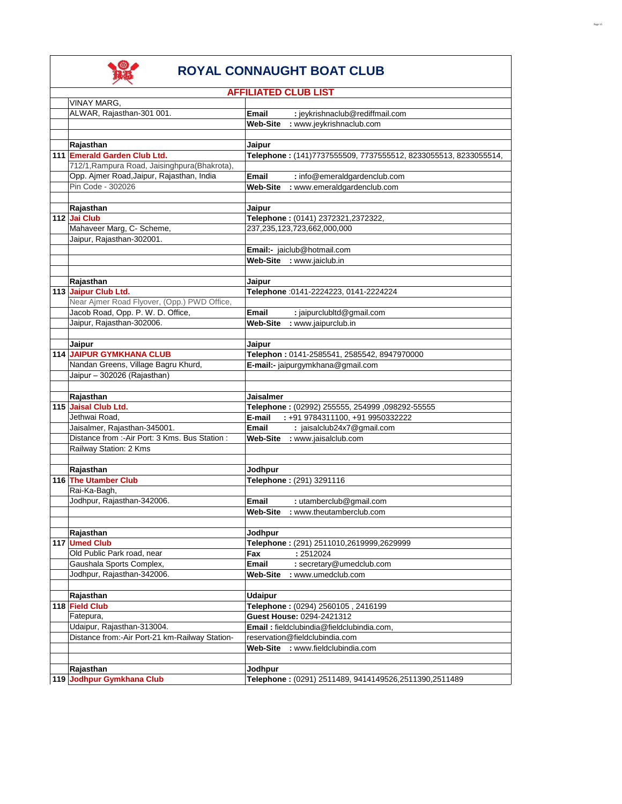

|                                                 | <b>AFFILIATED CLUB LIST</b>                                     |
|-------------------------------------------------|-----------------------------------------------------------------|
| VINAY MARG,                                     |                                                                 |
| ALWAR, Rajasthan-301 001.                       | Email<br>: jeykrishnaclub@rediffmail.com                        |
|                                                 | Web-Site<br>: www.jeykrishnaclub.com                            |
|                                                 |                                                                 |
| Rajasthan                                       | Jaipur                                                          |
| 111 Emerald Garden Club Ltd.                    | Telephone: (141)7737555509, 7737555512, 8233055513, 8233055514, |
| 712/1, Rampura Road, Jaisinghpura (Bhakrota),   |                                                                 |
| Opp. Ajmer Road, Jaipur, Rajasthan, India       | Email<br>: info@emeraldgardenclub.com                           |
| Pin Code - 302026                               | Web-Site<br>: www.emeraldgardenclub.com                         |
|                                                 |                                                                 |
| Rajasthan                                       | Jaipur                                                          |
| 112 Jai Club                                    | Telephone: (0141) 2372321,2372322,                              |
| Mahaveer Marg, C- Scheme,                       | 237,235,123,723,662,000,000                                     |
| Jaipur, Rajasthan-302001.                       |                                                                 |
|                                                 | Email:- jaiclub@hotmail.com                                     |
|                                                 | Web-Site : www.jaiclub.in                                       |
|                                                 |                                                                 |
| Rajasthan                                       | Jaipur                                                          |
| 113 Jaipur Club Ltd.                            | Telephone : 0141-2224223, 0141-2224224                          |
| Near Ajmer Road Flyover, (Opp.) PWD Office,     |                                                                 |
| Jacob Road, Opp. P. W. D. Office,               | <b>Email</b><br>: jaipurclubltd@gmail.com                       |
| Jaipur, Rajasthan-302006.                       | <b>Web-Site</b><br>: www.jaipurclub.in                          |
|                                                 |                                                                 |
| Jaipur                                          | Jaipur                                                          |
| <b>114 JAIPUR GYMKHANA CLUB</b>                 | Telephon: 0141-2585541, 2585542, 8947970000                     |
| Nandan Greens, Village Bagru Khurd,             | E-mail:- jaipurgymkhana@gmail.com                               |
| Jaipur - 302026 (Rajasthan)                     |                                                                 |
|                                                 |                                                                 |
| Rajasthan                                       | Jaisalmer                                                       |
| 115 Jaisal Club Ltd.                            | Telephone: (02992) 255555, 254999, 098292-55555                 |
| Jethwai Road,                                   | E-mail<br>: +91 9784311100, +91 9950332222                      |
| Jaisalmer, Rajasthan-345001.                    | Email<br>: jaisalclub24x7@gmail.com                             |
| Distance from :- Air Port: 3 Kms. Bus Station : | Web-Site : www.jaisalclub.com                                   |
| Railway Station: 2 Kms                          |                                                                 |
|                                                 |                                                                 |
| Rajasthan                                       | Jodhpur                                                         |
| 116 The Utamber Club                            | Telephone: (291) 3291116                                        |
| Rai-Ka-Bagh,                                    |                                                                 |
| Jodhpur, Rajasthan-342006.                      | Email<br>: utamberclub@gmail.com                                |
|                                                 | <b>Web-Site</b><br>: www.theutamberclub.com                     |
|                                                 |                                                                 |
| Rajasthan                                       | Jodhpur                                                         |
| 117 Umed Club                                   | Telephone: (291) 2511010,2619999,2629999                        |
| Old Public Park road, near                      | : 2512024<br>Fax                                                |
| Gaushala Sports Complex,                        | Email<br>: secretary@umedclub.com                               |
| Jodhpur, Rajasthan-342006.                      | Web-Site<br>: www.umedclub.com                                  |
|                                                 |                                                                 |
| Rajasthan                                       | <b>Udaipur</b>                                                  |
| 118 Field Club                                  | Telephone: (0294) 2560105, 2416199                              |
| Fatepura,                                       | Guest House: 0294-2421312                                       |
| Udaipur, Rajasthan-313004.                      | Email: fieldclubindia@fieldclubindia.com,                       |
| Distance from:-Air Port-21 km-Railway Station-  | reservation@fieldclubindia.com                                  |
|                                                 | Web-Site<br>: www.fieldclubindia.com                            |
|                                                 |                                                                 |
| Rajasthan                                       | Jodhpur                                                         |
| 119 Jodhpur Gymkhana Club                       | Telephone: (0291) 2511489, 9414149526,2511390,2511489           |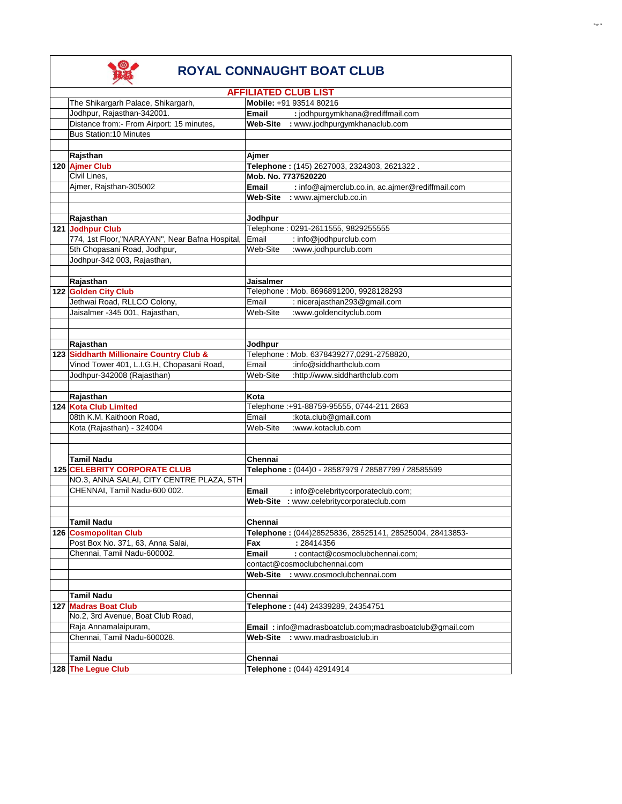|                                                | <b>AFFILIATED CLUB LIST</b>                                     |
|------------------------------------------------|-----------------------------------------------------------------|
| The Shikargarh Palace, Shikargarh,             | Mobile: +91 93514 80216                                         |
| Jodhpur, Rajasthan-342001.                     | : jodhpurgymkhana@rediffmail.com<br>Email                       |
| Distance from:- From Airport: 15 minutes,      | Web-Site : www.jodhpurgymkhanaclub.com                          |
| <b>Bus Station:10 Minutes</b>                  |                                                                 |
|                                                |                                                                 |
| Rajsthan                                       | Ajmer                                                           |
| 120 Ajmer Club                                 | Telephone: (145) 2627003, 2324303, 2621322.                     |
| Civil Lines,                                   | Mob. No. 7737520220                                             |
| Ajmer, Rajsthan-305002                         | : info@ajmerclub.co.in, ac.ajmer@rediffmail.com<br><b>Email</b> |
|                                                | Web-Site : www.ajmerclub.co.in                                  |
|                                                |                                                                 |
| Rajasthan                                      | Jodhpur                                                         |
| 121 Jodhpur Club                               | Telephone: 0291-2611555, 9829255555                             |
| 774, 1st Floor,"NARAYAN", Near Bafna Hospital, | Email<br>: info@jodhpurclub.com                                 |
| 5th Chopasani Road, Jodhpur,                   | Web-Site<br>:www.jodhpurclub.com                                |
| Jodhpur-342 003, Rajasthan,                    |                                                                 |
|                                                |                                                                 |
| Rajasthan                                      | <b>Jaisalmer</b>                                                |
| 122 Golden City Club                           | Telephone: Mob. 8696891200, 9928128293                          |
| Jethwai Road, RLLCO Colony,                    | Email<br>: nicerajasthan293@gmail.com                           |
| Jaisalmer -345 001, Rajasthan,                 | :www.goldencityclub.com<br>Web-Site                             |
|                                                |                                                                 |
|                                                |                                                                 |
| Rajasthan                                      | Jodhpur                                                         |
| 123 Siddharth Millionaire Country Club &       | Telephone: Mob. 6378439277,0291-2758820,                        |
| Vinod Tower 401, L.I.G.H, Chopasani Road,      | Email<br>$:$ info@siddharthclub.com                             |
|                                                | Web-Site                                                        |
| Jodhpur-342008 (Rajasthan)                     | :http://www.siddharthclub.com                                   |
|                                                |                                                                 |
| Rajasthan                                      | Kota                                                            |
| 124 Kota Club Limited                          | Telephone: +91-88759-95555, 0744-211 2663                       |
| 08th K.M. Kaithoon Road,                       | :kota.club@gmail.com<br>Email                                   |
| Kota (Rajasthan) - 324004                      | :www.kotaclub.com<br>Web-Site                                   |
|                                                |                                                                 |
|                                                |                                                                 |
| Tamil Nadu                                     | Chennai                                                         |
| 125 CELEBRITY CORPORATE CLUB                   | Telephone: (044)0 - 28587979 / 28587799 / 28585599              |
| NO.3, ANNA SALAI, CITY CENTRE PLAZA, 5TH       |                                                                 |
| CHENNAI, Tamil Nadu-600 002.                   | <b>Email</b><br>: info@celebritycorporateclub.com;              |
|                                                | Web-Site : www.celebritycorporateclub.com                       |
|                                                |                                                                 |
| <b>Tamil Nadu</b>                              | Chennai                                                         |
| 126 Cosmopolitan Club                          | Telephone: (044)28525836, 28525141, 28525004, 28413853-         |
| Post Box No. 371, 63, Anna Salai,              | : 28414356<br>Fax                                               |
| Chennai, Tamil Nadu-600002.                    | Email<br>: contact@cosmoclubchennai.com;                        |
|                                                | contact@cosmoclubchennai.com                                    |
|                                                | Web-Site : www.cosmoclubchennai.com                             |
|                                                |                                                                 |
| Tamil Nadu                                     | Chennai                                                         |
| 127 Madras Boat Club                           | Telephone: (44) 24339289, 24354751                              |
| No.2, 3rd Avenue, Boat Club Road,              |                                                                 |
| Raja Annamalaipuram,                           | <b>Email:</b> info@madrasboatclub.com;madrasboatclub@gmail.com  |
| Chennai, Tamil Nadu-600028.                    | : www.madrasboatclub.in<br>Web-Site                             |
|                                                |                                                                 |
| <b>Tamil Nadu</b>                              | Chennai                                                         |
| 128 The Legue Club                             | Telephone: (044) 42914914                                       |
|                                                |                                                                 |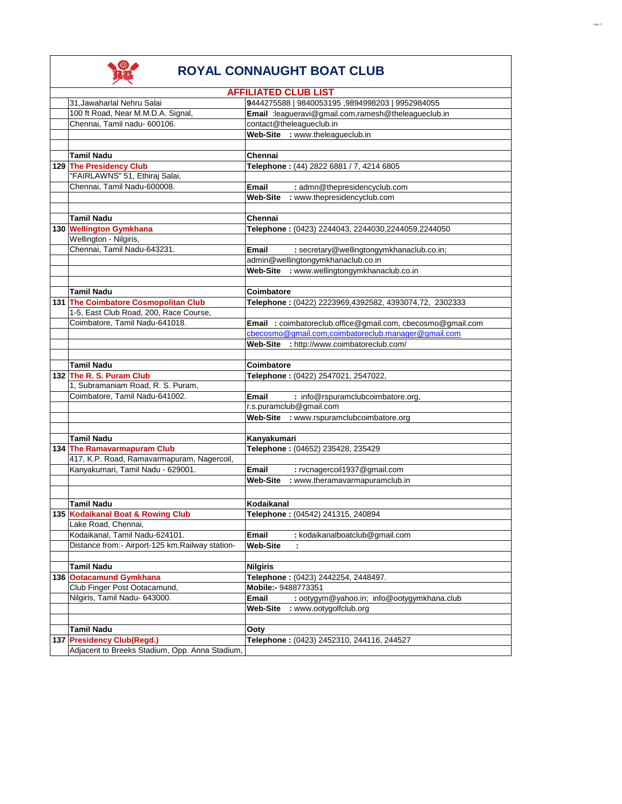

|                                                  | <b>AFFILIATED CLUB LIST</b>                                                     |
|--------------------------------------------------|---------------------------------------------------------------------------------|
| 31, Jawaharlal Nehru Salai                       | 9444275588   9840053195, 9894998203   9952984055                                |
| 100 ft Road, Near M.M.D.A. Signal,               | Email :leagueravi@gmail.com,ramesh@theleagueclub.in                             |
| Chennai. Tamil nadu- 600106.                     | contact@theleagueclub.in                                                        |
|                                                  | Web-Site : www.theleagueclub.in                                                 |
|                                                  |                                                                                 |
| <b>Tamil Nadu</b>                                | Chennai                                                                         |
| 129 The Presidency Club                          | Telephone: (44) 2822 6881 / 7, 4214 6805                                        |
| "FAIRLAWNS" 51, Ethiraj Salai,                   |                                                                                 |
| Chennai. Tamil Nadu-600008.                      | <b>Email</b><br>: admn@thepresidencyclub.com                                    |
|                                                  | : www.thepresidencyclub.com<br><b>Web-Site</b>                                  |
|                                                  |                                                                                 |
| <b>Tamil Nadu</b>                                | Chennai                                                                         |
| 130 Wellington Gymkhana                          | Telephone: (0423) 2244043, 2244030,2244059,2244050                              |
| Wellington - Nilgiris,                           |                                                                                 |
| Chennai, Tamil Nadu-643231.                      | <b>Email</b>                                                                    |
|                                                  | : secretary@wellingtongymkhanaclub.co.in;<br>admin@wellingtongymkhanaclub.co.in |
|                                                  |                                                                                 |
|                                                  | Web-Site : www.wellingtongymkhanaclub.co.in                                     |
|                                                  |                                                                                 |
| <b>Tamil Nadu</b>                                | Coimbatore                                                                      |
| 131 The Coimbatore Cosmopolitan Club             | Telephone: (0422) 2223969,4392582, 4393074,72, 2302333                          |
| 1-5, East Club Road, 200, Race Course,           |                                                                                 |
| Coimbatore, Tamil Nadu-641018.                   | Email: coimbatoreclub.office@gmail.com, cbecosmo@gmail.com                      |
|                                                  | cbecosmo@gmail.com,coimbatoreclub.manager@gmail.com                             |
|                                                  | Web-Site : http://www.coimbatoreclub.com/                                       |
|                                                  |                                                                                 |
| <b>Tamil Nadu</b>                                | Coimbatore                                                                      |
| 132 The R. S. Puram Club                         | Telephone: (0422) 2547021, 2547022,                                             |
| 1, Subramaniam Road, R. S. Puram,                |                                                                                 |
| Coimbatore, Tamil Nadu-641002.                   | <b>Email</b><br>: info@rspuramclubcoimbatore.org,                               |
|                                                  | r.s.puramclub@gmail.com                                                         |
|                                                  | Web-Site : www.rspuramclubcoimbatore.org                                        |
|                                                  |                                                                                 |
| <b>Tamil Nadu</b>                                | Kanyakumari                                                                     |
| 134 The Ramavarmapuram Club                      | Telephone: (04652) 235428, 235429                                               |
| 417, K.P. Road, Ramavarmapuram, Nagercoil,       |                                                                                 |
| Kanyakumari, Tamil Nadu - 629001.                | <b>Email</b><br>: rvcnagercoil1937@gmail.com                                    |
|                                                  | <b>Web-Site</b><br>: www.theramavarmapuramclub.in                               |
|                                                  |                                                                                 |
| <b>Tamil Nadu</b>                                | Kodaikanal                                                                      |
| 135 Kodaikanal Boat & Rowing Club                | Telephone: (04542) 241315, 240894                                               |
| Lake Road, Chennai,                              |                                                                                 |
| Kodaikanal. Tamil Nadu-624101.                   | : kodaikanalboatclub@gmail.com<br>Email                                         |
| Distance from:- Airport-125 km, Railway station- | <b>Web-Site</b><br>÷                                                            |
|                                                  |                                                                                 |
| <b>Tamil Nadu</b>                                | <b>Nilgiris</b>                                                                 |
| 136 Ootacamund Gymkhana                          | Telephone: (0423) 2442254, 2448497.                                             |
| Club Finger Post Ootacamund,                     | Mobile:- 9488773351                                                             |
| Nilgiris, Tamil Nadu- 643000.                    | Email<br>: ootygym@yahoo.in; info@ootygymkhana.club                             |
|                                                  | : www.ootygolfclub.org<br>Web-Site                                              |
|                                                  |                                                                                 |
| <b>Tamil Nadu</b>                                | Ooty                                                                            |
| 137 Presidency Club(Regd.)                       | Telephone: (0423) 2452310, 244116, 244527                                       |
| Adjacent to Breeks Stadium, Opp. Anna Stadium,   |                                                                                 |
|                                                  |                                                                                 |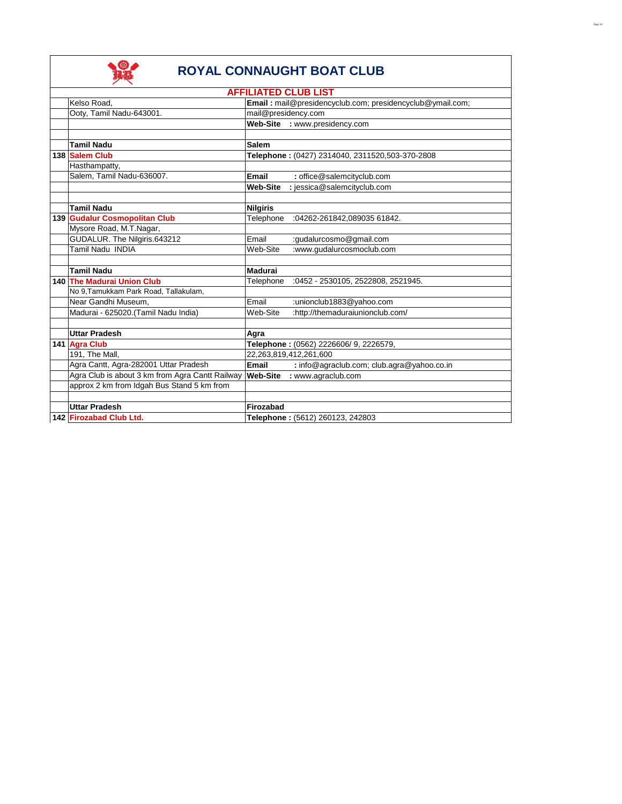

|                                                 | <b>AFFILIATED CLUB LIST</b>                               |
|-------------------------------------------------|-----------------------------------------------------------|
| Kelso Road.                                     | Email: mail@presidencyclub.com; presidencyclub@ymail.com; |
| Ooty, Tamil Nadu-643001.                        | mail@presidency.com                                       |
|                                                 | Web-Site : www.presidency.com                             |
|                                                 |                                                           |
| <b>Tamil Nadu</b>                               | <b>Salem</b>                                              |
| 138 Salem Club                                  | Telephone: (0427) 2314040, 2311520,503-370-2808           |
| Hasthampatty,                                   |                                                           |
| Salem, Tamil Nadu-636007.                       | Email<br>: office@salemcityclub.com                       |
|                                                 | : jessica@salemcityclub.com<br><b>Web-Site</b>            |
|                                                 |                                                           |
| <b>Tamil Nadu</b>                               | <b>Nilgiris</b>                                           |
| 139 Gudalur Cosmopolitan Club                   | Telephone<br>:04262-261842,089035 61842.                  |
| Mysore Road, M.T.Nagar,                         |                                                           |
| GUDALUR. The Nilgiris.643212                    | :gudalurcosmo@gmail.com<br>Email                          |
| Tamil Nadu INDIA                                | :www.gudalurcosmoclub.com<br>Web-Site                     |
|                                                 |                                                           |
| <b>Tamil Nadu</b>                               | Madurai                                                   |
| 140 The Madurai Union Club                      | Telephone<br>:0452 - 2530105, 2522808, 2521945.           |
| No 9, Tamukkam Park Road, Tallakulam,           |                                                           |
| Near Gandhi Museum,                             | Email<br>:unionclub1883@yahoo.com                         |
| Madurai - 625020. (Tamil Nadu India)            | :http://themaduraiunionclub.com/<br>Web-Site              |
|                                                 |                                                           |
| <b>Uttar Pradesh</b>                            | Agra                                                      |
| 141 Agra Club                                   | Telephone: (0562) 2226606/ 9, 2226579,                    |
| 191, The Mall,                                  | 22,263,819,412,261,600                                    |
| Agra Cantt, Agra-282001 Uttar Pradesh           | Email<br>: info@agraclub.com; club.agra@yahoo.co.in       |
| Agra Club is about 3 km from Agra Cantt Railway | <b>Web-Site</b><br>: www.agraclub.com                     |
| approx 2 km from Idgah Bus Stand 5 km from      |                                                           |
|                                                 |                                                           |
| <b>Uttar Pradesh</b>                            | Firozabad                                                 |
| 142 Firozabad Club Ltd.                         | Telephone: (5612) 260123, 242803                          |
|                                                 |                                                           |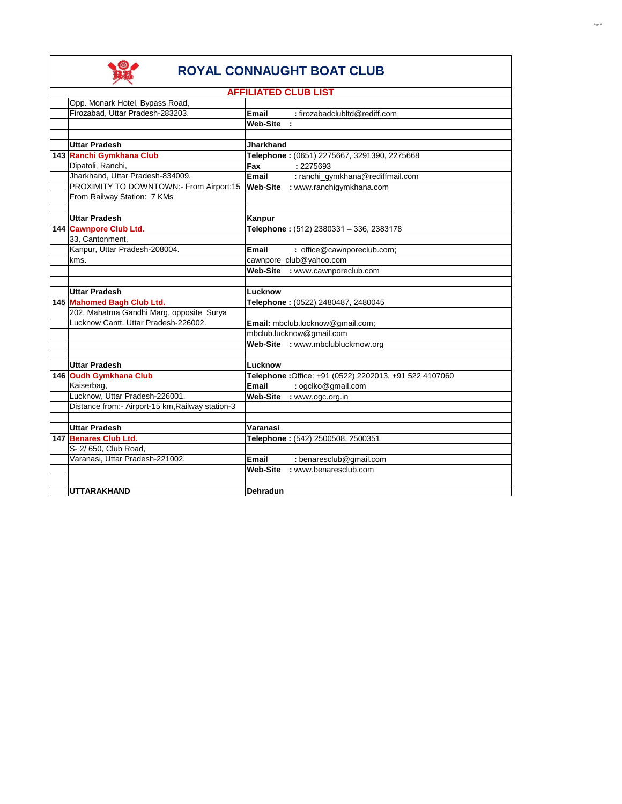

|                                                  | <b>AFFILIATED CLUB LIST</b>                             |
|--------------------------------------------------|---------------------------------------------------------|
| Opp. Monark Hotel, Bypass Road,                  |                                                         |
| Firozabad, Uttar Pradesh-283203.                 | : firozabadclubltd@rediff.com<br><b>Email</b>           |
|                                                  | <b>Web-Site</b>                                         |
|                                                  |                                                         |
| <b>Uttar Pradesh</b>                             | <b>Jharkhand</b>                                        |
| 143 Ranchi Gymkhana Club                         | Telephone: (0651) 2275667, 3291390, 2275668             |
| Dipatoli, Ranchi,                                | Fax<br>: 2275693                                        |
| Jharkhand, Uttar Pradesh-834009.                 | Email<br>: ranchi_gymkhana@rediffmail.com               |
| PROXIMITY TO DOWNTOWN:- From Airport:15          | : www.ranchigymkhana.com<br><b>Web-Site</b>             |
| From Railway Station: 7 KMs                      |                                                         |
|                                                  |                                                         |
| <b>Uttar Pradesh</b>                             | Kanpur                                                  |
| 144 Cawnpore Club Ltd.                           | Telephone: (512) 2380331 - 336, 2383178                 |
| 33, Cantonment,                                  |                                                         |
| Kanpur, Uttar Pradesh-208004.                    | <b>Email</b><br>: office@cawnporeclub.com;              |
| kms.                                             | cawnpore_club@yahoo.com                                 |
|                                                  | Web-Site : www.cawnporeclub.com                         |
|                                                  |                                                         |
| <b>Uttar Pradesh</b>                             | Lucknow                                                 |
| 145 Mahomed Bagh Club Ltd.                       | Telephone: (0522) 2480487, 2480045                      |
| 202, Mahatma Gandhi Marg, opposite Surya         |                                                         |
| Lucknow Cantt. Uttar Pradesh-226002.             | Email: mbclub.locknow@gmail.com;                        |
|                                                  | mbclub.lucknow@gmail.com                                |
|                                                  | Web-Site : www.mbclubluckmow.org                        |
|                                                  |                                                         |
| <b>Uttar Pradesh</b>                             | Lucknow                                                 |
| 146 Oudh Gymkhana Club                           | Telephone : Office: +91 (0522) 2202013, +91 522 4107060 |
| Kaiserbag,                                       | Email<br>: ogclko@gmail.com                             |
| Lucknow, Uttar Pradesh-226001.                   | : www.ogc.org.in<br>Web-Site                            |
| Distance from:- Airport-15 km, Railway station-3 |                                                         |
|                                                  |                                                         |
| <b>Uttar Pradesh</b>                             | Varanasi                                                |
| 147 Benares Club Ltd.                            | Telephone: (542) 2500508, 2500351                       |
| S- 2/ 650. Club Road.                            |                                                         |
| Varanasi, Uttar Pradesh-221002.                  | Email<br>: benaresclub@gmail.com                        |
|                                                  | : www.benaresclub.com<br><b>Web-Site</b>                |
|                                                  |                                                         |
| <b>UTTARAKHAND</b>                               | <b>Dehradun</b>                                         |